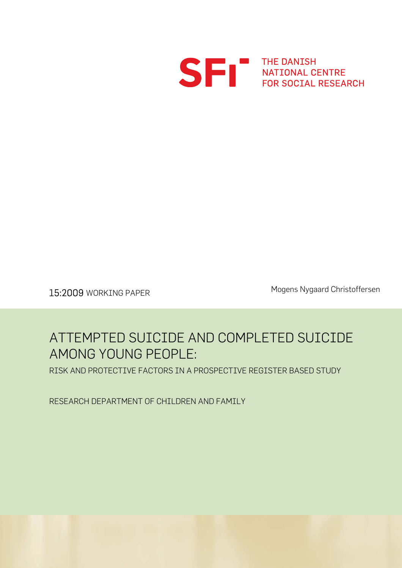

SERVICE THE DANISH

Mogens Nygaard Christoffersen 15:2009 WORKING PAPER

## ATTEMPTED SUICIDE AND COMPLETED SUICIDE AMONG YOUNG PEOPLE:

RISK AND PROTECTIVE FACTORS IN A PROSPECTIVE REGISTER BASED STUDY

RESEARCH DEPARTMENT OF CHILDREN AND FAMILY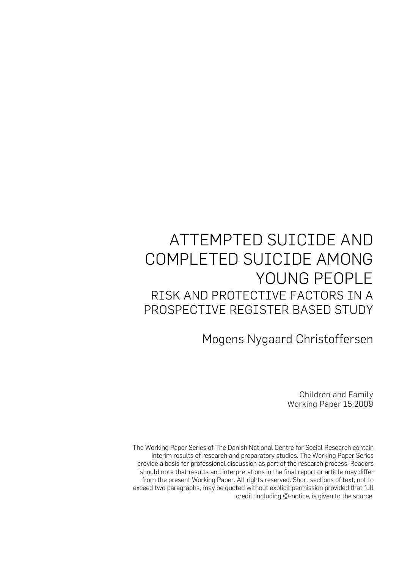# ATTEMPTED SUICIDE AND COMPLETED SUICIDE AMONG YOUNG PEOPLE RISK AND PROTECTIVE FACTORS IN A PROSPECTIVE REGISTER BASED STUDY

Mogens Nygaard Christoffersen

Children and Family Working Paper 15:2009

The Working Paper Series of The Danish National Centre for Social Research contain interim results of research and preparatory studies. The Working Paper Series provide a basis for professional discussion as part of the research process. Readers should note that results and interpretations in the final report or article may differ from the present Working Paper. All rights reserved. Short sections of text, not to exceed two paragraphs, may be quoted without explicit permission provided that full credit, including ©-notice, is given to the source.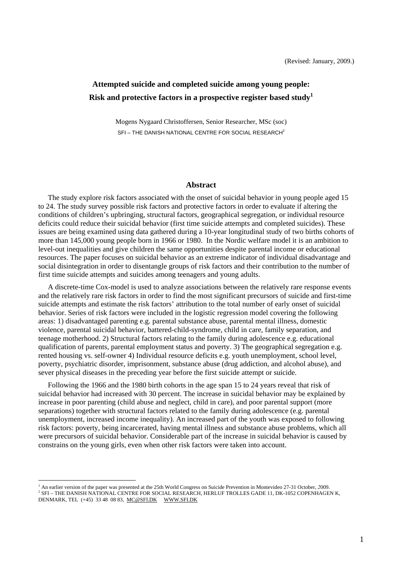## **Attempted suicide and completed suicide among young people: Risk and protective factors in a prospective register based study[1](#page-2-0)**

Mogens Nygaard Christoffersen, Senior Researcher, MSc (soc) SFI – THE DANISH NATIONAL CENTRE FOR SOCIAL RESEARCH<sup>2</sup>

#### **Abstract**

The study explore risk factors associated with the onset of suicidal behavior in young people aged 15 to 24. The study survey possible risk factors and protective factors in order to evaluate if altering the conditions of children's upbringing, structural factors, geographical segregation, or individual resource deficits could reduce their suicidal behavior (first time suicide attempts and completed suicides). These issues are being examined using data gathered during a 10-year longitudinal study of two births cohorts of more than 145,000 young people born in 1966 or 1980. In the Nordic welfare model it is an ambition to level-out inequalities and give children the same opportunities despite parental income or educational resources. The paper focuses on suicidal behavior as an extreme indicator of individual disadvantage and social disintegration in order to disentangle groups of risk factors and their contribution to the number of first time suicide attempts and suicides among teenagers and young adults.

A discrete-time Cox-model is used to analyze associations between the relatively rare response events and the relatively rare risk factors in order to find the most significant precursors of suicide and first-time suicide attempts and estimate the risk factors' attribution to the total number of early onset of suicidal behavior. Series of risk factors were included in the logistic regression model covering the following areas: 1) disadvantaged parenting e.g. parental substance abuse, parental mental illness, domestic violence, parental suicidal behavior, battered-child-syndrome, child in care, family separation, and teenage motherhood. 2) Structural factors relating to the family during adolescence e.g. educational qualification of parents, parental employment status and poverty. 3) The geographical segregation e.g. rented housing vs. self-owner 4) Individual resource deficits e.g. youth unemployment, school level, poverty, psychiatric disorder, imprisonment, substance abuse (drug addiction, and alcohol abuse), and sever physical diseases in the preceding year before the first suicide attempt or suicide.

Following the 1966 and the 1980 birth cohorts in the age span 15 to 24 years reveal that risk of suicidal behavior had increased with 30 percent. The increase in suicidal behavior may be explained by increase in poor parenting (child abuse and neglect, child in care), and poor parental support (more separations) together with structural factors related to the family during adolescence (e.g. parental unemployment, increased income inequality). An increased part of the youth was exposed to following risk factors: poverty, being incarcerated, having mental illness and substance abuse problems, which all were precursors of suicidal behavior. Considerable part of the increase in suicidal behavior is caused by constrains on the young girls, even when other risk factors were taken into account.

 $\overline{a}$ 

<span id="page-2-1"></span><span id="page-2-0"></span><sup>&</sup>lt;sup>1</sup> An earlier version of the paper was presented at the 25th World Congress on Suicide Prevention in Montevideo 27-31 October, 2009. 2 SFI – THE DANISH NATIONAL CENTRE FOR SOCIAL RESEARCH, HERLUF TROLLES GADE 11, DK-1052 COPENHAGEN K, DENMARK, TEL (+45) 33 48 08 83, [MC@SFI.DK](mailto:MC@SFI.DK) [WWW.SFI.DK](http://www.sfi.dk/)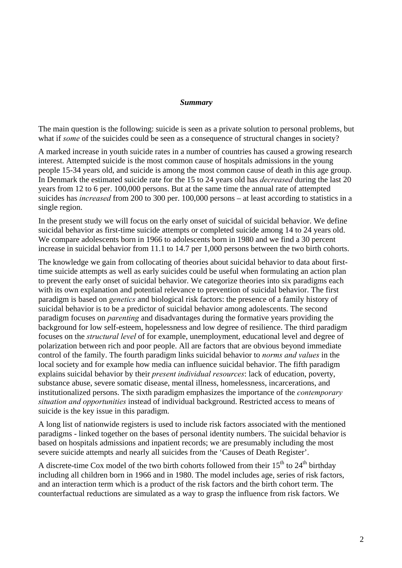#### *Summary*

The main question is the following: suicide is seen as a private solution to personal problems, but what if *some* of the suicides could be seen as a consequence of structural changes in society?

A marked increase in youth suicide rates in a number of countries has caused a growing research interest. Attempted suicide is the most common cause of hospitals admissions in the young people 15-34 years old, and suicide is among the most common cause of death in this age group. In Denmark the estimated suicide rate for the 15 to 24 years old has *decreased* during the last 20 years from 12 to 6 per. 100,000 persons. But at the same time the annual rate of attempted suicides has *increased* from 200 to 300 per. 100,000 persons – at least according to statistics in a single region.

In the present study we will focus on the early onset of suicidal of suicidal behavior. We define suicidal behavior as first-time suicide attempts or completed suicide among 14 to 24 years old. We compare adolescents born in 1966 to adolescents born in 1980 and we find a 30 percent increase in suicidal behavior from 11.1 to 14.7 per 1,000 persons between the two birth cohorts.

The knowledge we gain from collocating of theories about suicidal behavior to data about firsttime suicide attempts as well as early suicides could be useful when formulating an action plan to prevent the early onset of suicidal behavior. We categorize theories into six paradigms each with its own explanation and potential relevance to prevention of suicidal behavior. The first paradigm is based on *genetics* and biological risk factors: the presence of a family history of suicidal behavior is to be a predictor of suicidal behavior among adolescents. The second paradigm focuses on *parenting* and disadvantages during the formative years providing the background for low self-esteem, hopelessness and low degree of resilience. The third paradigm focuses on the *structural level* of for example, unemployment, educational level and degree of polarization between rich and poor people. All are factors that are obvious beyond immediate control of the family. The fourth paradigm links suicidal behavior to *norms and values* in the local society and for example how media can influence suicidal behavior. The fifth paradigm explains suicidal behavior by their *present individual resources*: lack of education, poverty, substance abuse, severe somatic disease, mental illness, homelessness, incarcerations, and institutionalized persons. The sixth paradigm emphasizes the importance of the *contemporary situation and opportunities* instead of individual background. Restricted access to means of suicide is the key issue in this paradigm.

A long list of nationwide registers is used to include risk factors associated with the mentioned paradigms - linked together on the bases of personal identity numbers. The suicidal behavior is based on hospitals admissions and inpatient records; we are presumably including the most severe suicide attempts and nearly all suicides from the 'Causes of Death Register'.

A discrete-time Cox model of the two birth cohorts followed from their  $15<sup>th</sup>$  to  $24<sup>th</sup>$  birthday including all children born in 1966 and in 1980. The model includes age, series of risk factors, and an interaction term which is a product of the risk factors and the birth cohort term. The counterfactual reductions are simulated as a way to grasp the influence from risk factors. We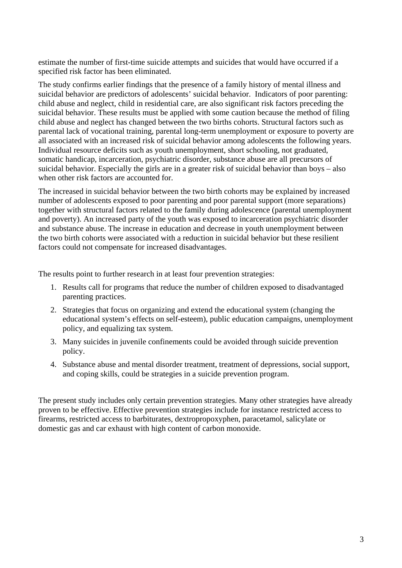estimate the number of first-time suicide attempts and suicides that would have occurred if a specified risk factor has been eliminated.

The study confirms earlier findings that the presence of a family history of mental illness and suicidal behavior are predictors of adolescents' suicidal behavior. Indicators of poor parenting: child abuse and neglect, child in residential care, are also significant risk factors preceding the suicidal behavior. These results must be applied with some caution because the method of filing child abuse and neglect has changed between the two births cohorts. Structural factors such as parental lack of vocational training, parental long-term unemployment or exposure to poverty are all associated with an increased risk of suicidal behavior among adolescents the following years. Individual resource deficits such as youth unemployment, short schooling, not graduated, somatic handicap, incarceration, psychiatric disorder, substance abuse are all precursors of suicidal behavior. Especially the girls are in a greater risk of suicidal behavior than boys – also when other risk factors are accounted for.

The increased in suicidal behavior between the two birth cohorts may be explained by increased number of adolescents exposed to poor parenting and poor parental support (more separations) together with structural factors related to the family during adolescence (parental unemployment and poverty). An increased party of the youth was exposed to incarceration psychiatric disorder and substance abuse. The increase in education and decrease in youth unemployment between the two birth cohorts were associated with a reduction in suicidal behavior but these resilient factors could not compensate for increased disadvantages.

The results point to further research in at least four prevention strategies:

- 1. Results call for programs that reduce the number of children exposed to disadvantaged parenting practices.
- 2. Strategies that focus on organizing and extend the educational system (changing the educational system's effects on self-esteem), public education campaigns, unemployment policy, and equalizing tax system.
- 3. Many suicides in juvenile confinements could be avoided through suicide prevention policy.
- 4. Substance abuse and mental disorder treatment, treatment of depressions, social support, and coping skills, could be strategies in a suicide prevention program.

The present study includes only certain prevention strategies. Many other strategies have already proven to be effective. Effective prevention strategies include for instance restricted access to firearms, restricted access to barbiturates, dextropropoxyphen, paracetamol, salicylate or domestic gas and car exhaust with high content of carbon monoxide.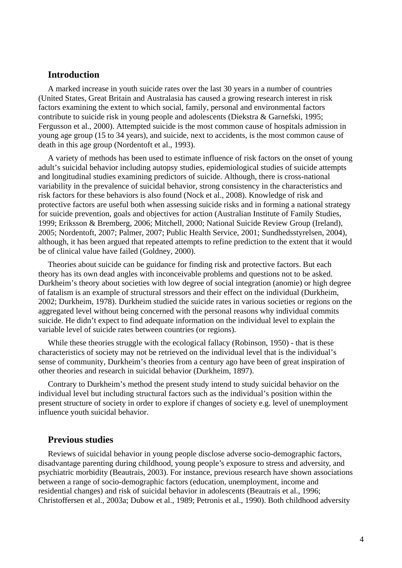## **Introduction**

A marked increase in youth suicide rates over the last 30 years in a number of countries (United States, Great Britain and Australasia has caused a growing research interest in risk factors examining the extent to which social, family, personal and environmental factors contribute to suicide risk in young people and adolescents (Diekstra & Garnefski, 1995; Fergusson et al., 2000). Attempted suicide is the most common cause of hospitals admission in young age group (15 to 34 years), and suicide, next to accidents, is the most common cause of death in this age group (Nordentoft et al., 1993).

A variety of methods has been used to estimate influence of risk factors on the onset of young adult's suicidal behavior including autopsy studies, epidemiological studies of suicide attempts and longitudinal studies examining predictors of suicide. Although, there is cross-national variability in the prevalence of suicidal behavior, strong consistency in the characteristics and risk factors for these behaviors is also found (Nock et al., 2008). Knowledge of risk and protective factors are useful both when assessing suicide risks and in forming a national strategy for suicide prevention, goals and objectives for action (Australian Institute of Family Studies, 1999; Eriksson & Bremberg, 2006; Mitchell, 2000; National Suicide Review Group (Ireland), 2005; Nordentoft, 2007; Palmer, 2007; Public Health Service, 2001; Sundhedsstyrelsen, 2004), although, it has been argued that repeated attempts to refine prediction to the extent that it would be of clinical value have failed (Goldney, 2000).

Theories about suicide can be guidance for finding risk and protective factors. But each theory has its own dead angles with inconceivable problems and questions not to be asked. Durkheim's theory about societies with low degree of social integration (anomie) or high degree of fatalism is an example of structural stressors and their effect on the individual (Durkheim, 2002; Durkheim, 1978). Durkheim studied the suicide rates in various societies or regions on the aggregated level without being concerned with the personal reasons why individual commits suicide. He didn't expect to find adequate information on the individual level to explain the variable level of suicide rates between countries (or regions).

While these theories struggle with the ecological fallacy (Robinson, 1950) - that is these characteristics of society may not be retrieved on the individual level that is the individual's sense of community, Durkheim's theories from a century ago have been of great inspiration of other theories and research in suicidal behavior (Durkheim, 1897).

Contrary to Durkheim's method the present study intend to study suicidal behavior on the individual level but including structural factors such as the individual's position within the present structure of society in order to explore if changes of society e.g. level of unemployment influence youth suicidal behavior.

### **Previous studies**

Reviews of suicidal behavior in young people disclose adverse socio-demographic factors, disadvantage parenting during childhood, young people's exposure to stress and adversity, and psychiatric morbidity (Beautrais, 2003). For instance, previous research have shown associations between a range of socio-demographic factors (education, unemployment, income and residential changes) and risk of suicidal behavior in adolescents (Beautrais et al., 1996; Christoffersen et al., 2003a; Dubow et al., 1989; Petronis et al., 1990). Both childhood adversity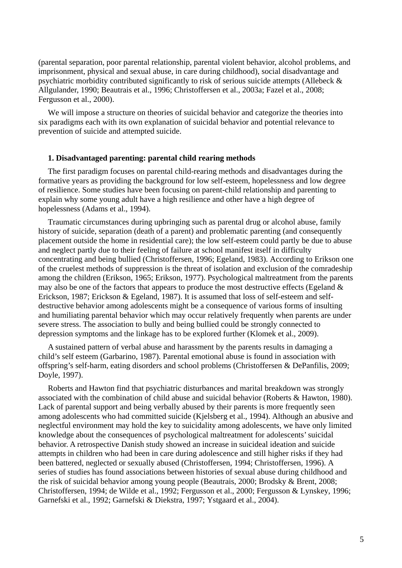(parental separation, poor parental relationship, parental violent behavior, alcohol problems, and imprisonment, physical and sexual abuse, in care during childhood), social disadvantage and psychiatric morbidity contributed significantly to risk of serious suicide attempts (Allebeck & Allgulander, 1990; Beautrais et al., 1996; Christoffersen et al., 2003a; Fazel et al., 2008; Fergusson et al., 2000).

We will impose a structure on theories of suicidal behavior and categorize the theories into six paradigms each with its own explanation of suicidal behavior and potential relevance to prevention of suicide and attempted suicide.

#### **1. Disadvantaged parenting: parental child rearing methods**

The first paradigm focuses on parental child-rearing methods and disadvantages during the formative years as providing the background for low self-esteem, hopelessness and low degree of resilience. Some studies have been focusing on parent-child relationship and parenting to explain why some young adult have a high resilience and other have a high degree of hopelessness (Adams et al., 1994).

Traumatic circumstances during upbringing such as parental drug or alcohol abuse, family history of suicide, separation (death of a parent) and problematic parenting (and consequently placement outside the home in residential care); the low self-esteem could partly be due to abuse and neglect partly due to their feeling of failure at school manifest itself in difficulty concentrating and being bullied (Christoffersen, 1996; Egeland, 1983). According to Erikson one of the cruelest methods of suppression is the threat of isolation and exclusion of the comradeship among the children (Erikson, 1965; Erikson, 1977). Psychological maltreatment from the parents may also be one of the factors that appears to produce the most destructive effects (Egeland  $\&$ Erickson, 1987; Erickson & Egeland, 1987). It is assumed that loss of self-esteem and selfdestructive behavior among adolescents might be a consequence of various forms of insulting and humiliating parental behavior which may occur relatively frequently when parents are under severe stress. The association to bully and being bullied could be strongly connected to depression symptoms and the linkage has to be explored further (Klomek et al., 2009).

A sustained pattern of verbal abuse and harassment by the parents results in damaging a child's self esteem (Garbarino, 1987). Parental emotional abuse is found in association with offspring's self-harm, eating disorders and school problems (Christoffersen & DePanfilis, 2009; Doyle, 1997).

Roberts and Hawton find that psychiatric disturbances and marital breakdown was strongly associated with the combination of child abuse and suicidal behavior (Roberts & Hawton, 1980). Lack of parental support and being verbally abused by their parents is more frequently seen among adolescents who had committed suicide (Kjelsberg et al., 1994). Although an abusive and neglectful environment may hold the key to suicidality among adolescents, we have only limited knowledge about the consequences of psychological maltreatment for adolescents' suicidal behavior. A retrospective Danish study showed an increase in suicideal ideation and suicide attempts in children who had been in care during adolescence and still higher risks if they had been battered, neglected or sexually abused (Christoffersen, 1994; Christoffersen, 1996). A series of studies has found associations between histories of sexual abuse during childhood and the risk of suicidal behavior among young people (Beautrais, 2000; Brodsky & Brent, 2008; Christoffersen, 1994; de Wilde et al., 1992; Fergusson et al., 2000; Fergusson & Lynskey, 1996; Garnefski et al., 1992; Garnefski & Diekstra, 1997; Ystgaard et al., 2004).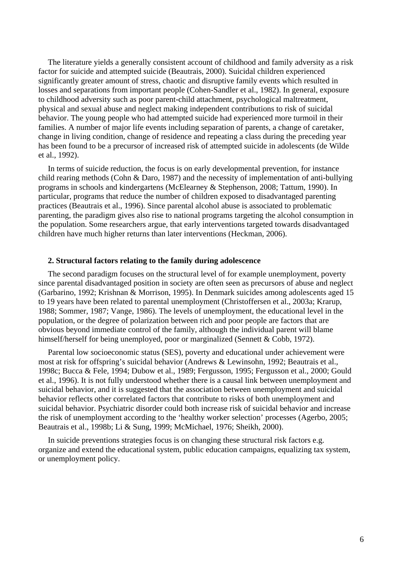The literature yields a generally consistent account of childhood and family adversity as a risk factor for suicide and attempted suicide (Beautrais, 2000). Suicidal children experienced significantly greater amount of stress, chaotic and disruptive family events which resulted in losses and separations from important people (Cohen-Sandler et al., 1982). In general, exposure to childhood adversity such as poor parent-child attachment, psychological maltreatment, physical and sexual abuse and neglect making independent contributions to risk of suicidal behavior. The young people who had attempted suicide had experienced more turmoil in their families. A number of major life events including separation of parents, a change of caretaker, change in living condition, change of residence and repeating a class during the preceding year has been found to be a precursor of increased risk of attempted suicide in adolescents (de Wilde et al., 1992).

In terms of suicide reduction, the focus is on early developmental prevention, for instance child rearing methods (Cohn & Daro, 1987) and the necessity of implementation of anti-bullying programs in schools and kindergartens (McElearney & Stephenson, 2008; Tattum, 1990). In particular, programs that reduce the number of children exposed to disadvantaged parenting practices (Beautrais et al., 1996). Since parental alcohol abuse is associated to problematic parenting, the paradigm gives also rise to national programs targeting the alcohol consumption in the population. Some researchers argue, that early interventions targeted towards disadvantaged children have much higher returns than later interventions (Heckman, 2006).

#### **2. Structural factors relating to the family during adolescence**

The second paradigm focuses on the structural level of for example unemployment, poverty since parental disadvantaged position in society are often seen as precursors of abuse and neglect (Garbarino, 1992; Krishnan & Morrison, 1995). In Denmark suicides among adolescents aged 15 to 19 years have been related to parental unemployment (Christoffersen et al., 2003a; Krarup, 1988; Sommer, 1987; Vange, 1986). The levels of unemployment, the educational level in the population, or the degree of polarization between rich and poor people are factors that are obvious beyond immediate control of the family, although the individual parent will blame himself/herself for being unemployed, poor or marginalized (Sennett & Cobb, 1972).

Parental low socioeconomic status (SES), poverty and educational under achievement were most at risk for offspring's suicidal behavior (Andrews & Lewinsohn, 1992; Beautrais et al., 1998c; Bucca & Fele, 1994; Dubow et al., 1989; Fergusson, 1995; Fergusson et al., 2000; Gould et al., 1996). It is not fully understood whether there is a causal link between unemployment and suicidal behavior, and it is suggested that the association between unemployment and suicidal behavior reflects other correlated factors that contribute to risks of both unemployment and suicidal behavior. Psychiatric disorder could both increase risk of suicidal behavior and increase the risk of unemployment according to the 'healthy worker selection' processes (Agerbo, 2005; Beautrais et al., 1998b; Li & Sung, 1999; McMichael, 1976; Sheikh, 2000).

In suicide preventions strategies focus is on changing these structural risk factors e.g. organize and extend the educational system, public education campaigns, equalizing tax system, or unemployment policy.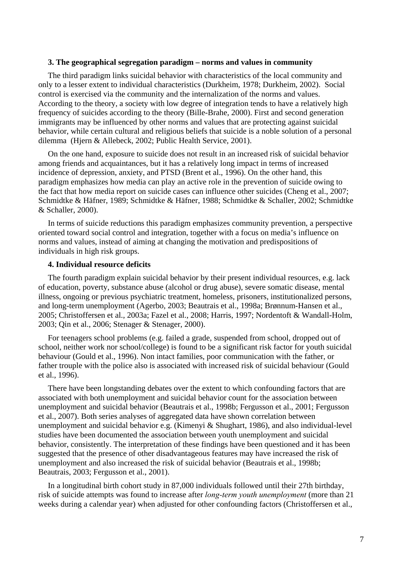#### **3. The geographical segregation paradigm – norms and values in community**

The third paradigm links suicidal behavior with characteristics of the local community and only to a lesser extent to individual characteristics (Durkheim, 1978; Durkheim, 2002). Social control is exercised via the community and the internalization of the norms and values. According to the theory, a society with low degree of integration tends to have a relatively high frequency of suicides according to the theory (Bille-Brahe, 2000). First and second generation immigrants may be influenced by other norms and values that are protecting against suicidal behavior, while certain cultural and religious beliefs that suicide is a noble solution of a personal dilemma (Hjern & Allebeck, 2002; Public Health Service, 2001).

On the one hand, exposure to suicide does not result in an increased risk of suicidal behavior among friends and acquaintances, but it has a relatively long impact in terms of increased incidence of depression, anxiety, and PTSD (Brent et al., 1996). On the other hand, this paradigm emphasizes how media can play an active role in the prevention of suicide owing to the fact that how media report on suicide cases can influence other suicides (Cheng et al., 2007; Schmidtke & Häfner, 1989; Schmidtke & Häfner, 1988; Schmidtke & Schaller, 2002; Schmidtke & Schaller, 2000).

In terms of suicide reductions this paradigm emphasizes community prevention, a perspective oriented toward social control and integration, together with a focus on media's influence on norms and values, instead of aiming at changing the motivation and predispositions of individuals in high risk groups.

#### **4. Individual resource deficits**

The fourth paradigm explain suicidal behavior by their present individual resources, e.g. lack of education, poverty, substance abuse (alcohol or drug abuse), severe somatic disease, mental illness, ongoing or previous psychiatric treatment, homeless, prisoners, institutionalized persons, and long-term unemployment (Agerbo, 2003; Beautrais et al., 1998a; Brønnum-Hansen et al., 2005; Christoffersen et al., 2003a; Fazel et al., 2008; Harris, 1997; Nordentoft & Wandall-Holm, 2003; Qin et al., 2006; Stenager & Stenager, 2000).

For teenagers school problems (e.g. failed a grade, suspended from school, dropped out of school, neither work nor school/college) is found to be a significant risk factor for youth suicidal behaviour (Gould et al., 1996). Non intact families, poor communication with the father, or father trouple with the police also is associated with increased risk of suicidal behaviour (Gould et al., 1996).

There have been longstanding debates over the extent to which confounding factors that are associated with both unemployment and suicidal behavior count for the association between unemployment and suicidal behavior (Beautrais et al., 1998b; Fergusson et al., 2001; Fergusson et al., 2007). Both series analyses of aggregated data have shown correlation between unemployment and suicidal behavior e.g. (Kimenyi & Shughart, 1986), and also individual-level studies have been documented the association between youth unemployment and suicidal behavior, consistently. The interpretation of these findings have been questioned and it has been suggested that the presence of other disadvantageous features may have increased the risk of unemployment and also increased the risk of suicidal behavior (Beautrais et al., 1998b; Beautrais, 2003; Fergusson et al., 2001).

In a longitudinal birth cohort study in 87,000 individuals followed until their 27th birthday, risk of suicide attempts was found to increase after *long-term youth unemployment* (more than 21 weeks during a calendar year) when adjusted for other confounding factors (Christoffersen et al.,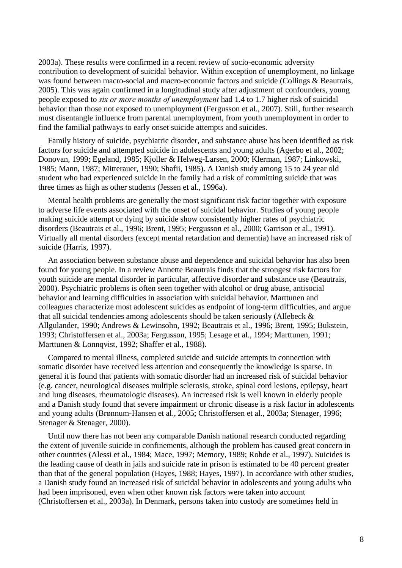2003a). These results were confirmed in a recent review of socio-economic adversity contribution to development of suicidal behavior. Within exception of unemployment, no linkage was found between macro-social and macro-economic factors and suicide (Collings & Beautrais, 2005). This was again confirmed in a longitudinal study after adjustment of confounders, young people exposed to *six or more months of unemployment* had 1.4 to 1.7 higher risk of suicidal behavior than those not exposed to unemployment (Fergusson et al., 2007). Still, further research must disentangle influence from parental unemployment, from youth unemployment in order to find the familial pathways to early onset suicide attempts and suicides.

Family history of suicide, psychiatric disorder, and substance abuse has been identified as risk factors for suicide and attempted suicide in adolescents and young adults (Agerbo et al., 2002; Donovan, 1999; Egeland, 1985; Kjoller & Helweg-Larsen, 2000; Klerman, 1987; Linkowski, 1985; Mann, 1987; Mitterauer, 1990; Shafii, 1985). A Danish study among 15 to 24 year old student who had experienced suicide in the family had a risk of committing suicide that was three times as high as other students (Jessen et al., 1996a).

Mental health problems are generally the most significant risk factor together with exposure to adverse life events associated with the onset of suicidal behavior. Studies of young people making suicide attempt or dying by suicide show consistently higher rates of psychiatric disorders (Beautrais et al., 1996; Brent, 1995; Fergusson et al., 2000; Garrison et al., 1991). Virtually all mental disorders (except mental retardation and dementia) have an increased risk of suicide (Harris, 1997).

An association between substance abuse and dependence and suicidal behavior has also been found for young people. In a review Annette Beautrais finds that the strongest risk factors for youth suicide are mental disorder in particular, affective disorder and substance use (Beautrais, 2000). Psychiatric problems is often seen together with alcohol or drug abuse, antisocial behavior and learning difficulties in association with suicidal behavior. Marttunen and colleagues characterize most adolescent suicides as endpoint of long-term difficulties, and argue that all suicidal tendencies among adolescents should be taken seriously (Allebeck & Allgulander, 1990; Andrews & Lewinsohn, 1992; Beautrais et al., 1996; Brent, 1995; Bukstein, 1993; Christoffersen et al., 2003a; Fergusson, 1995; Lesage et al., 1994; Marttunen, 1991; Marttunen & Lonnqvist, 1992; Shaffer et al., 1988).

Compared to mental illness, completed suicide and suicide attempts in connection with somatic disorder have received less attention and consequently the knowledge is sparse. In general it is found that patients with somatic disorder had an increased risk of suicidal behavior (e.g. cancer, neurological diseases multiple sclerosis, stroke, spinal cord lesions, epilepsy, heart and lung diseases, rheumatologic diseases). An increased risk is well known in elderly people and a Danish study found that severe impairment or chronic disease is a risk factor in adolescents and young adults (Brønnum-Hansen et al., 2005; Christoffersen et al., 2003a; Stenager, 1996; Stenager & Stenager, 2000).

Until now there has not been any comparable Danish national research conducted regarding the extent of juvenile suicide in confinements, although the problem has caused great concern in other countries (Alessi et al., 1984; Mace, 1997; Memory, 1989; Rohde et al., 1997). Suicides is the leading cause of death in jails and suicide rate in prison is estimated to be 40 percent greater than that of the general population (Hayes, 1988; Hayes, 1997). In accordance with other studies, a Danish study found an increased risk of suicidal behavior in adolescents and young adults who had been imprisoned, even when other known risk factors were taken into account (Christoffersen et al., 2003a). In Denmark, persons taken into custody are sometimes held in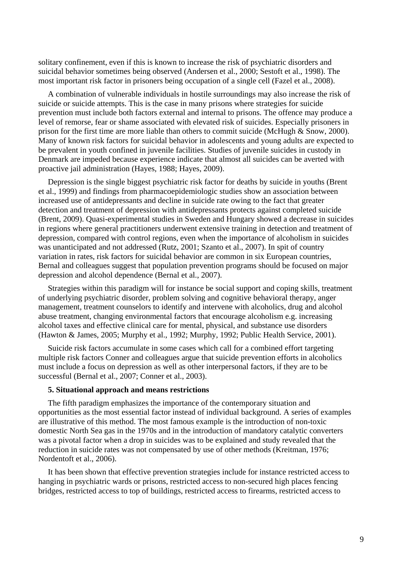solitary confinement, even if this is known to increase the risk of psychiatric disorders and suicidal behavior sometimes being observed (Andersen et al., 2000; Sestoft et al., 1998). The most important risk factor in prisoners being occupation of a single cell (Fazel et al., 2008).

A combination of vulnerable individuals in hostile surroundings may also increase the risk of suicide or suicide attempts. This is the case in many prisons where strategies for suicide prevention must include both factors external and internal to prisons. The offence may produce a level of remorse, fear or shame associated with elevated risk of suicides. Especially prisoners in prison for the first time are more liable than others to commit suicide (McHugh & Snow, 2000). Many of known risk factors for suicidal behavior in adolescents and young adults are expected to be prevalent in youth confined in juvenile facilities. Studies of juvenile suicides in custody in Denmark are impeded because experience indicate that almost all suicides can be averted with proactive jail administration (Hayes, 1988; Hayes, 2009).

Depression is the single biggest psychiatric risk factor for deaths by suicide in youths (Brent et al., 1999) and findings from pharmacoepidemiologic studies show an association between increased use of antidepressants and decline in suicide rate owing to the fact that greater detection and treatment of depression with antidepressants protects against completed suicide (Brent, 2009). Quasi-experimental studies in Sweden and Hungary showed a decrease in suicides in regions where general practitioners underwent extensive training in detection and treatment of depression, compared with control regions, even when the importance of alcoholism in suicides was unanticipated and not addressed (Rutz, 2001; Szanto et al., 2007). In spit of country variation in rates, risk factors for suicidal behavior are common in six European countries, Bernal and colleagues suggest that population prevention programs should be focused on major depression and alcohol dependence (Bernal et al., 2007).

Strategies within this paradigm will for instance be social support and coping skills, treatment of underlying psychiatric disorder, problem solving and cognitive behavioral therapy, anger management, treatment counselors to identify and intervene with alcoholics, drug and alcohol abuse treatment, changing environmental factors that encourage alcoholism e.g. increasing alcohol taxes and effective clinical care for mental, physical, and substance use disorders (Hawton & James, 2005; Murphy et al., 1992; Murphy, 1992; Public Health Service, 2001).

Suicide risk factors accumulate in some cases which call for a combined effort targeting multiple risk factors Conner and colleagues argue that suicide prevention efforts in alcoholics must include a focus on depression as well as other interpersonal factors, if they are to be successful (Bernal et al., 2007; Conner et al., 2003).

#### **5. Situational approach and means restrictions**

The fifth paradigm emphasizes the importance of the contemporary situation and opportunities as the most essential factor instead of individual background. A series of examples are illustrative of this method. The most famous example is the introduction of non-toxic domestic North Sea gas in the 1970s and in the introduction of mandatory catalytic converters was a pivotal factor when a drop in suicides was to be explained and study revealed that the reduction in suicide rates was not compensated by use of other methods (Kreitman, 1976; Nordentoft et al., 2006).

It has been shown that effective prevention strategies include for instance restricted access to hanging in psychiatric wards or prisons, restricted access to non-secured high places fencing bridges, restricted access to top of buildings, restricted access to firearms, restricted access to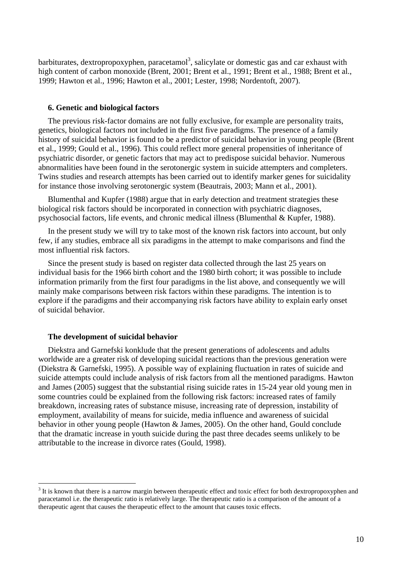barbiturates, dextropropoxyphen, paracetamol<sup>[3](#page-11-0)</sup>, salicylate or domestic gas and car exhaust with high content of carbon monoxide (Brent, 2001; Brent et al., 1991; Brent et al., 1988; Brent et al., 1999; Hawton et al., 1996; Hawton et al., 2001; Lester, 1998; Nordentoft, 2007).

#### **6. Genetic and biological factors**

The previous risk-factor domains are not fully exclusive, for example are personality traits, genetics, biological factors not included in the first five paradigms. The presence of a family history of suicidal behavior is found to be a predictor of suicidal behavior in young people (Brent et al., 1999; Gould et al., 1996). This could reflect more general propensities of inheritance of psychiatric disorder, or genetic factors that may act to predispose suicidal behavior. Numerous abnormalities have been found in the serotonergic system in suicide attempters and completers. Twins studies and research attempts has been carried out to identify marker genes for suicidality for instance those involving serotonergic system (Beautrais, 2003; Mann et al., 2001).

Blumenthal and Kupfer (1988) argue that in early detection and treatment strategies these biological risk factors should be incorporated in connection with psychiatric diagnoses, psychosocial factors, life events, and chronic medical illness (Blumenthal & Kupfer, 1988).

In the present study we will try to take most of the known risk factors into account, but only few, if any studies, embrace all six paradigms in the attempt to make comparisons and find the most influential risk factors.

Since the present study is based on register data collected through the last 25 years on individual basis for the 1966 birth cohort and the 1980 birth cohort; it was possible to include information primarily from the first four paradigms in the list above, and consequently we will mainly make comparisons between risk factors within these paradigms. The intention is to explore if the paradigms and their accompanying risk factors have ability to explain early onset of suicidal behavior.

#### **The development of suicidal behavior**

 $\overline{a}$ 

Diekstra and Garnefski konklude that the present generations of adolescents and adults worldwide are a greater risk of developing suicidal reactions than the previous generation were (Diekstra & Garnefski, 1995). A possible way of explaining fluctuation in rates of suicide and suicide attempts could include analysis of risk factors from all the mentioned paradigms. Hawton and James (2005) suggest that the substantial rising suicide rates in 15-24 year old young men in some countries could be explained from the following risk factors: increased rates of family breakdown, increasing rates of substance misuse, increasing rate of depression, instability of employment, availability of means for suicide, media influence and awareness of suicidal behavior in other young people (Hawton & James, 2005). On the other hand, Gould conclude that the dramatic increase in youth suicide during the past three decades seems unlikely to be attributable to the increase in divorce rates (Gould, 1998).

<span id="page-11-0"></span> $3$  It is known that there is a narrow margin between therapeutic effect and toxic effect for both dextropropoxyphen and paracetamol i.e. the therapeutic ratio is relatively large. The therapeutic ratio is a comparison of the amount of a therapeutic agent that causes the therapeutic effect to the amount that causes toxic effects.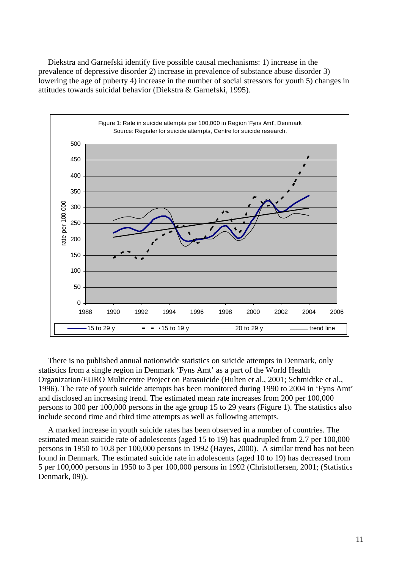Diekstra and Garnefski identify five possible causal mechanisms: 1) increase in the prevalence of depressive disorder 2) increase in prevalence of substance abuse disorder 3) lowering the age of puberty 4) increase in the number of social stressors for youth 5) changes in attitudes towards suicidal behavior (Diekstra & Garnefski, 1995).



There is no published annual nationwide statistics on suicide attempts in Denmark, only statistics from a single region in Denmark 'Fyns Amt' as a part of the World Health Organization/EURO Multicentre Project on Parasuicide (Hulten et al., 2001; Schmidtke et al., 1996). The rate of youth suicide attempts has been monitored during 1990 to 2004 in 'Fyns Amt' and disclosed an increasing trend. The estimated mean rate increases from 200 per 100,000 persons to 300 per 100,000 persons in the age group 15 to 29 years (Figure 1). The statistics also include second time and third time attempts as well as following attempts.

A marked increase in youth suicide rates has been observed in a number of countries. The estimated mean suicide rate of adolescents (aged 15 to 19) has quadrupled from 2.7 per 100,000 persons in 1950 to 10.8 per 100,000 persons in 1992 (Hayes, 2000). A similar trend has not been found in Denmark. The estimated suicide rate in adolescents (aged 10 to 19) has decreased from 5 per 100,000 persons in 1950 to 3 per 100,000 persons in 1992 (Christoffersen, 2001; (Statistics Denmark, 09).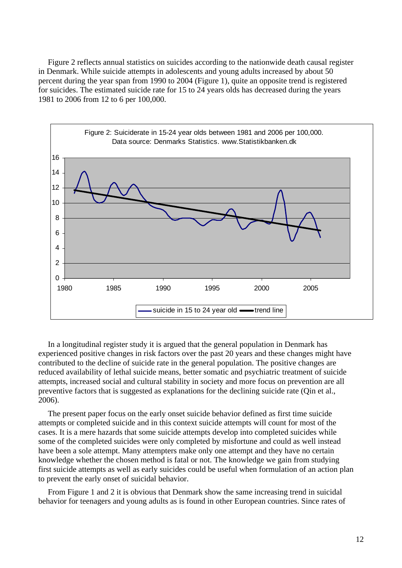Figure 2 reflects annual statistics on suicides according to the nationwide death causal register in Denmark. While suicide attempts in adolescents and young adults increased by about 50 percent during the year span from 1990 to 2004 (Figure 1), quite an opposite trend is registered for suicides. The estimated suicide rate for 15 to 24 years olds has decreased during the years 1981 to 2006 from 12 to 6 per 100,000.



In a longitudinal register study it is argued that the general population in Denmark has experienced positive changes in risk factors over the past 20 years and these changes might have contributed to the decline of suicide rate in the general population. The positive changes are reduced availability of lethal suicide means, better somatic and psychiatric treatment of suicide attempts, increased social and cultural stability in society and more focus on prevention are all preventive factors that is suggested as explanations for the declining suicide rate (Qin et al., 2006).

The present paper focus on the early onset suicide behavior defined as first time suicide attempts or completed suicide and in this context suicide attempts will count for most of the cases. It is a mere hazards that some suicide attempts develop into completed suicides while some of the completed suicides were only completed by misfortune and could as well instead have been a sole attempt. Many attempters make only one attempt and they have no certain knowledge whether the chosen method is fatal or not. The knowledge we gain from studying first suicide attempts as well as early suicides could be useful when formulation of an action plan to prevent the early onset of suicidal behavior.

From Figure 1 and 2 it is obvious that Denmark show the same increasing trend in suicidal behavior for teenagers and young adults as is found in other European countries. Since rates of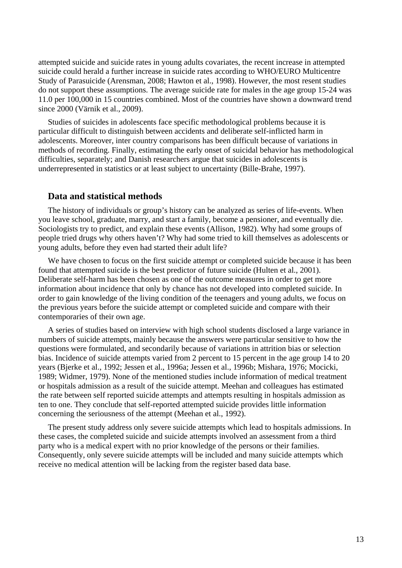attempted suicide and suicide rates in young adults covariates, the recent increase in attempted suicide could herald a further increase in suicide rates according to WHO/EURO Multicentre Study of Parasuicide (Arensman, 2008; Hawton et al., 1998). However, the most resent studies do not support these assumptions. The average suicide rate for males in the age group 15-24 was 11.0 per 100,000 in 15 countries combined. Most of the countries have shown a downward trend since 2000 (Värnik et al., 2009).

Studies of suicides in adolescents face specific methodological problems because it is particular difficult to distinguish between accidents and deliberate self-inflicted harm in adolescents. Moreover, inter country comparisons has been difficult because of variations in methods of recording. Finally, estimating the early onset of suicidal behavior has methodological difficulties, separately; and Danish researchers argue that suicides in adolescents is underrepresented in statistics or at least subject to uncertainty (Bille-Brahe, 1997).

## **Data and statistical methods**

The history of individuals or group's history can be analyzed as series of life-events. When you leave school, graduate, marry, and start a family, become a pensioner, and eventually die. Sociologists try to predict, and explain these events (Allison, 1982). Why had some groups of people tried drugs why others haven't? Why had some tried to kill themselves as adolescents or young adults, before they even had started their adult life?

We have chosen to focus on the first suicide attempt or completed suicide because it has been found that attempted suicide is the best predictor of future suicide (Hulten et al., 2001). Deliberate self-harm has been chosen as one of the outcome measures in order to get more information about incidence that only by chance has not developed into completed suicide. In order to gain knowledge of the living condition of the teenagers and young adults, we focus on the previous years before the suicide attempt or completed suicide and compare with their contemporaries of their own age.

A series of studies based on interview with high school students disclosed a large variance in numbers of suicide attempts, mainly because the answers were particular sensitive to how the questions were formulated, and secondarily because of variations in attrition bias or selection bias. Incidence of suicide attempts varied from 2 percent to 15 percent in the age group 14 to 20 years (Bjerke et al., 1992; Jessen et al., 1996a; Jessen et al., 1996b; Mishara, 1976; Mocicki, 1989; Widmer, 1979). None of the mentioned studies include information of medical treatment or hospitals admission as a result of the suicide attempt. Meehan and colleagues has estimated the rate between self reported suicide attempts and attempts resulting in hospitals admission as ten to one. They conclude that self-reported attempted suicide provides little information concerning the seriousness of the attempt (Meehan et al., 1992).

The present study address only severe suicide attempts which lead to hospitals admissions. In these cases, the completed suicide and suicide attempts involved an assessment from a third party who is a medical expert with no prior knowledge of the persons or their families. Consequently, only severe suicide attempts will be included and many suicide attempts which receive no medical attention will be lacking from the register based data base.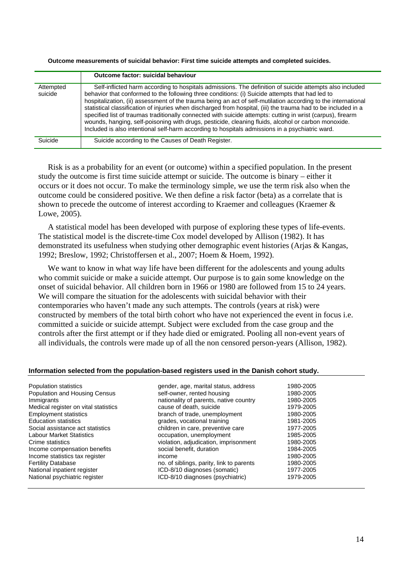**Outcome measurements of suicidal behavior: First time suicide attempts and completed suicides.**

|                      | Outcome factor: suicidal behaviour                                                                                                                                                                                                                                                                                                                                                                                                                                                                                                                                                                                                                                                                                                                                     |
|----------------------|------------------------------------------------------------------------------------------------------------------------------------------------------------------------------------------------------------------------------------------------------------------------------------------------------------------------------------------------------------------------------------------------------------------------------------------------------------------------------------------------------------------------------------------------------------------------------------------------------------------------------------------------------------------------------------------------------------------------------------------------------------------------|
| Attempted<br>suicide | Self-inflicted harm according to hospitals admissions. The definition of suicide attempts also included<br>behavior that conformed to the following three conditions: (i) Suicide attempts that had led to<br>hospitalization, (ii) assessment of the trauma being an act of self-mutilation according to the international<br>statistical classification of injuries when discharged from hospital, (iii) the trauma had to be included in a<br>specified list of traumas traditionally connected with suicide attempts: cutting in wrist (carpus), firearm<br>wounds, hanging, self-poisoning with drugs, pesticide, cleaning fluids, alcohol or carbon monoxide.<br>Included is also intentional self-harm according to hospitals admissions in a psychiatric ward. |
| Suicide              | Suicide according to the Causes of Death Register.                                                                                                                                                                                                                                                                                                                                                                                                                                                                                                                                                                                                                                                                                                                     |

Risk is as a probability for an event (or outcome) within a specified population. In the present study the outcome is first time suicide attempt or suicide. The outcome is binary – either it occurs or it does not occur. To make the terminology simple, we use the term risk also when the outcome could be considered positive. We then define a risk factor (beta) as a correlate that is shown to precede the outcome of interest according to Kraemer and colleagues (Kraemer & Lowe, 2005).

A statistical model has been developed with purpose of exploring these types of life-events. The statistical model is the discrete-time Cox model developed by Allison (1982). It has demonstrated its usefulness when studying other demographic event histories (Arjas & Kangas, 1992; Breslow, 1992; Christoffersen et al., 2007; Hoem & Hoem, 1992).

We want to know in what way life have been different for the adolescents and young adults who commit suicide or make a suicide attempt. Our purpose is to gain some knowledge on the onset of suicidal behavior. All children born in 1966 or 1980 are followed from 15 to 24 years. We will compare the situation for the adolescents with suicidal behavior with their contemporaries who haven't made any such attempts. The controls (years at risk) were constructed by members of the total birth cohort who have not experienced the event in focus i.e. committed a suicide or suicide attempt. Subject were excluded from the case group and the controls after the first attempt or if they hade died or emigrated. Pooling all non-event years of all individuals, the controls were made up of all the non censored person-years (Allison, 1982).

#### **Information selected from the population-based registers used in the Danish cohort study.**

| Population statistics                | gender, age, marital status, address     | 1980-2005 |
|--------------------------------------|------------------------------------------|-----------|
| Population and Housing Census        | self-owner, rented housing               | 1980-2005 |
| Immigrants                           | nationality of parents, native country   | 1980-2005 |
| Medical register on vital statistics | cause of death, suicide                  | 1979-2005 |
| <b>Employment statistics</b>         | branch of trade, unemployment            | 1980-2005 |
| <b>Education statistics</b>          | grades, vocational training              | 1981-2005 |
| Social assistance act statistics     | children in care, preventive care        | 1977-2005 |
| <b>Labour Market Statistics</b>      | occupation, unemployment                 | 1985-2005 |
| Crime statistics                     | violation, adjudication, imprisonment    | 1980-2005 |
| Income compensation benefits         | social benefit, duration                 | 1984-2005 |
| Income statistics tax register       | income                                   | 1980-2005 |
| <b>Fertility Database</b>            | no. of siblings, parity, link to parents | 1980-2005 |
| National inpatient register          | ICD-8/10 diagnoses (somatic)             | 1977-2005 |
| National psychiatric register        | ICD-8/10 diagnoses (psychiatric)         | 1979-2005 |
|                                      |                                          |           |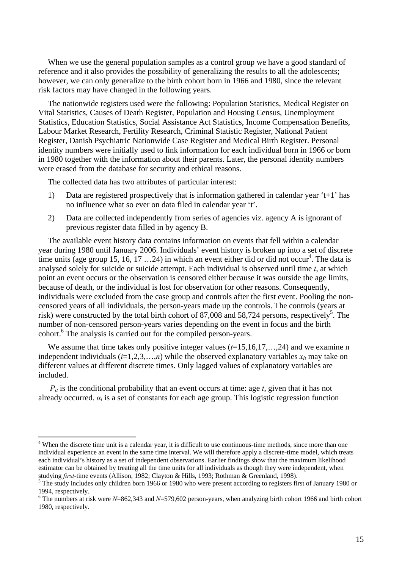When we use the general population samples as a control group we have a good standard of reference and it also provides the possibility of generalizing the results to all the adolescents; however, we can only generalize to the birth cohort born in 1966 and 1980, since the relevant risk factors may have changed in the following years.

The nationwide registers used were the following: Population Statistics, Medical Register on Vital Statistics, Causes of Death Register, Population and Housing Census, Unemployment Statistics, Education Statistics, Social Assistance Act Statistics, Income Compensation Benefits, Labour Market Research, Fertility Research, Criminal Statistic Register, National Patient Register, Danish Psychiatric Nationwide Case Register and Medical Birth Register. Personal identity numbers were initially used to link information for each individual born in 1966 or born in 1980 together with the information about their parents. Later, the personal identity numbers were erased from the database for security and ethical reasons.

The collected data has two attributes of particular interest:

 $\overline{a}$ 

- 1) Data are registered prospectively that is information gathered in calendar year 't+1' has no influence what so ever on data filed in calendar year 't'.
- 2) Data are collected independently from series of agencies viz. agency A is ignorant of previous register data filled in by agency B.

The available event history data contains information on events that fell within a calendar year during 1980 until January 2006. Individuals' event history is broken up into a set of discrete time units (age group 15, 16, 17 ...24) in which an event either did or did not occur<sup>4</sup>. The data is analysed solely for suicide or suicide attempt. Each individual is observed until time *t*, at which point an event occurs or the observation is censored either because it was outside the age limits, because of death, or the individual is lost for observation for other reasons. Consequently, individuals were excluded from the case group and controls after the first event. Pooling the noncensored years of all individuals, the person-years made up the controls. The controls (years at risk) were constructed by the total birth cohort of 87,008 and 58,724 persons, respectively<sup>5</sup>. The number of non-censored person-years varies depending on the event in focus and the birth cohort.<sup>6</sup> The analysis is carried out for the compiled person-years.

We assume that time takes only positive integer values ( $t=15,16,17,...,24$ ) and we examine n independent individuals  $(i=1,2,3,...,n)$  while the observed explanatory variables  $x_{it}$  may take on different values at different discrete times. Only lagged values of explanatory variables are included.

 $P_{it}$  is the conditional probability that an event occurs at time: age  $t$ , given that it has not already occurred.  $\alpha_t$  is a set of constants for each age group. This logistic regression function

<span id="page-16-0"></span><sup>&</sup>lt;sup>4</sup> When the discrete time unit is a calendar year, it is difficult to use continuous-time methods, since more than one individual experience an event in the same time interval. We will therefore apply a discrete-time model, which treats each individual's history as a set of independent observations. Earlier findings show that the maximum likelihood estimator can be obtained by treating all the time units for all individuals as though they were independent, when studving *first*-time events (Allison, 1982; Clayton & Hills, 1993; Rothman & Greenland, 1998).

<span id="page-16-1"></span><sup>&</sup>lt;sup>5</sup> The study includes only children born 1966 or 1980 who were present according to registers first of January 1980 or 1994, respectively.

<span id="page-16-2"></span>The numbers at risk were *N*=862,343 and *N*=579,602 person-years, when analyzing birth cohort 1966 and birth cohort 1980, respectively.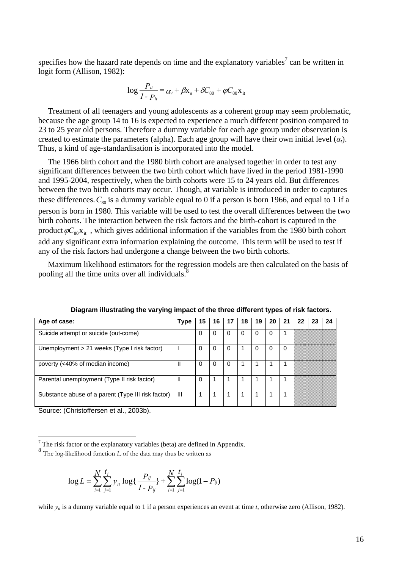specifies how the hazard rate depends on time and the explanatory variables<sup>7</sup> can be written in logit form (Allison, 1982):

$$
\log \frac{P_{it}}{1 - P_{it}} = \alpha_t + \beta x_{it} + \delta C_{80} + \varphi C_{80} x_{it}
$$

Treatment of all teenagers and young adolescents as a coherent group may seem problematic, because the age group 14 to 16 is expected to experience a much different position compared to 23 to 25 year old persons. Therefore a dummy variable for each age group under observation is created to estimate the parameters (alpha). Each age group will have their own initial level  $(\alpha_t)$ . Thus, a kind of age-standardisation is incorporated into the model.

The 1966 birth cohort and the 1980 birth cohort are analysed together in order to test any significant differences between the two birth cohort which have lived in the period 1981-1990 and 1995-2004, respectively, when the birth cohorts were 15 to 24 years old. But differences between the two birth cohorts may occur. Though, at variable is introduced in order to captures these differences.  $C_{80}$  is a dummy variable equal to 0 if a person is born 1966, and equal to 1 if a person is born in 1980. This variable will be used to test the overall differences between the two birth cohorts. The interaction between the risk factors and the birth-cohort is captured in the product  $\varphi C_{80}x_{it}$ , which gives additional information if the variables from the 1980 birth cohort add any significant extra information explaining the outcome. This term will be used to test if any of the risk factors had undergone a change between the two birth cohorts.

Maximum likelihood estimators for the regression models are then calculated on the basis of pooling all the time units over all individuals.<sup>8</sup>

| Age of case:                                       | <b>Type</b>    | 15       | 16 | 17       | 18 | 19       | 20 | 21 | 22 | 23 | 24 |
|----------------------------------------------------|----------------|----------|----|----------|----|----------|----|----|----|----|----|
| Suicide attempt or suicide (out-come)              |                | $\Omega$ | 0  | $\Omega$ |    | $\Omega$ | 0  |    |    |    |    |
| Unemployment > 21 weeks (Type I risk factor)       |                | $\Omega$ |    | $\Omega$ |    |          | 0  | 0  |    |    |    |
| poverty (<40% of median income)                    |                |          | 0  |          |    |          |    |    |    |    |    |
| Parental unemployment (Type II risk factor)        |                | 0        |    |          |    |          |    |    |    |    |    |
| Substance abuse of a parent (Type III risk factor) | $\mathbf{III}$ |          |    |          |    |          |    |    |    |    |    |

**Diagram illustrating the varying impact of the three different types of risk factors.** 

Source: (Christoffersen et al., 2003b).

$$
\log L = \sum_{i=1}^{N} \sum_{j=1}^{t_i} y_{it} \log \left\{ \frac{P_{ij}}{1 - P_{ij}} \right\} + \sum_{i=1}^{N} \sum_{j=1}^{t_i} \log(1 - P_{ij})
$$

while  $y_{it}$  is a dummy variable equal to 1 if a person experiences an event at time *t*, otherwise zero (Allison, 1982).

<span id="page-17-0"></span><sup>-&</sup>lt;br>7

<span id="page-17-1"></span> $8$  The log-likelihood function *L* of the data may thus be written as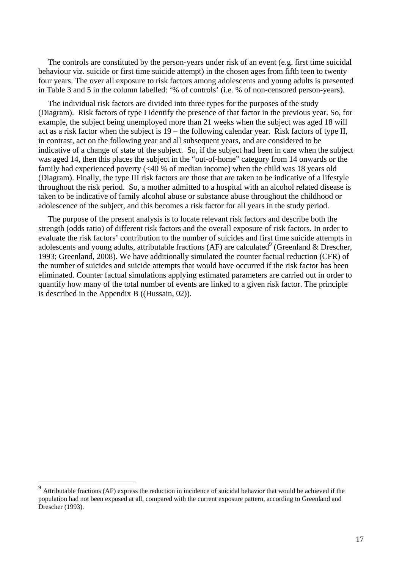The controls are constituted by the person-years under risk of an event (e.g. first time suicidal behaviour viz. suicide or first time suicide attempt) in the chosen ages from fifth teen to twenty four years. The over all exposure to risk factors among adolescents and young adults is presented in Table 3 and 5 in the column labelled: '% of controls' (i.e. % of non-censored person-years).

The individual risk factors are divided into three types for the purposes of the study (Diagram). Risk factors of type I identify the presence of that factor in the previous year. So, for example, the subject being unemployed more than 21 weeks when the subject was aged 18 will act as a risk factor when the subject is 19 – the following calendar year. Risk factors of type II, in contrast, act on the following year and all subsequent years, and are considered to be indicative of a change of state of the subject. So, if the subject had been in care when the subject was aged 14, then this places the subject in the "out-of-home" category from 14 onwards or the family had experienced poverty  $\ll 40$  % of median income) when the child was 18 years old (Diagram). Finally, the type III risk factors are those that are taken to be indicative of a lifestyle throughout the risk period. So, a mother admitted to a hospital with an alcohol related disease is taken to be indicative of family alcohol abuse or substance abuse throughout the childhood or adolescence of the subject, and this becomes a risk factor for all years in the study period.

The purpose of the present analysis is to locate relevant risk factors and describe both the strength (odds ratio) of different risk factors and the overall exposure of risk factors. In order to evaluate the risk factors' contribution to the number of suicides and first time suicide attempts in adolescents and young adults, attributable fractions (AF) are calculated <sup>9</sup> (Greenland & Drescher, 1993; Greenland, 2008). We have additionally simulated the counter factual reduction (CFR) of the number of suicides and suicide attempts that would have occurred if the risk factor has been eliminated. Counter factual simulations applying estimated parameters are carried out in order to quantify how many of the total number of events are linked to a given risk factor. The principle is described in the Appendix B ((Hussain, 02)).

 $\overline{a}$ 

<span id="page-18-0"></span> $9<sup>9</sup>$  Attributable fractions (AF) express the reduction in incidence of suicidal behavior that would be achieved if the population had not been exposed at all, compared with the current exposure pattern, according to Greenland and Drescher (1993).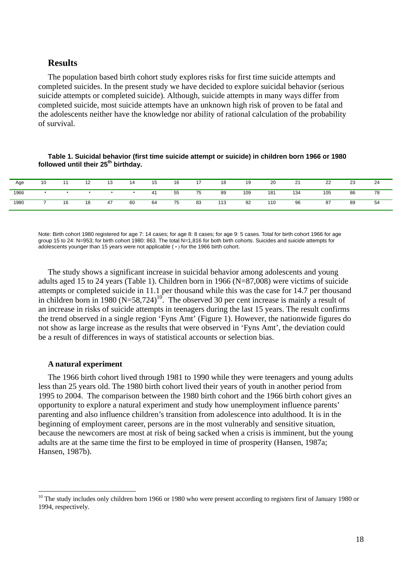## **Results**

The population based birth cohort study explores risks for first time suicide attempts and completed suicides. In the present study we have decided to explore suicidal behavior (serious suicide attempts or completed suicide). Although, suicide attempts in many ways differ from completed suicide, most suicide attempts have an unknown high risk of proven to be fatal and the adolescents neither have the knowledge nor ability of rational calculation of the probability of survival.

**Table 1. Suicidal behavior (first time suicide attempt or suicide) in children born 1966 or 1980**  followed until their 25<sup>th</sup> birthday.

| Age  | 10 |    | ے ا | ∪י | 14        | 15 | 16 | 17 | 18  | 19  | 20  | 21  | 22  | 23 | ີ<br>-4 |
|------|----|----|-----|----|-----------|----|----|----|-----|-----|-----|-----|-----|----|---------|
| 1966 |    |    |     |    | $\bullet$ | 41 | 55 | 75 | 89  | 109 | 181 | 134 | 105 | 86 | 78      |
| 1980 |    | 16 | 18  | 47 | 60        | 64 | 75 | 83 | 113 | 92  | 110 | 96  | 87  | 89 | 54      |

Note: Birth cohort 1980 registered for age 7: 14 cases; for age 8: 8 cases; for age 9: 5 cases. Total for birth cohort 1966 for age group 15 to 24: N=953; for birth cohort 1980: 863. The total N=1,816 for both birth cohorts. Suicides and suicide attempts for adolescents younger than 15 years were not applicable ( • ) for the 1966 birth cohort.

The study shows a significant increase in suicidal behavior among adolescents and young adults aged 15 to 24 years (Table 1). Children born in 1966 (N=87,008) were victims of suicide attempts or completed suicide in 11.1 per thousand while this was the case for 14.7 per thousand in children born in 1980  $(N=58,724)^{10}$ . The observed 30 per cent increase is mainly a result of an increase in risks of suicide attempts in teenagers during the last 15 years. The result confirms the trend observed in a single region 'Fyns Amt' (Figure 1). However, the nationwide figures do not show as large increase as the results that were observed in 'Fyns Amt', the deviation could be a result of differences in ways of statistical accounts or selection bias.

#### **A natural experiment**

 $\overline{a}$ 

The 1966 birth cohort lived through 1981 to 1990 while they were teenagers and young adults less than 25 years old. The 1980 birth cohort lived their years of youth in another period from 1995 to 2004. The comparison between the 1980 birth cohort and the 1966 birth cohort gives an opportunity to explore a natural experiment and study how unemployment influence parents' parenting and also influence children's transition from adolescence into adulthood. It is in the beginning of employment career, persons are in the most vulnerably and sensitive situation, because the newcomers are most at risk of being sacked when a crisis is imminent, but the young adults are at the same time the first to be employed in time of prosperity (Hansen, 1987a; Hansen, 1987b).

<span id="page-19-0"></span><sup>&</sup>lt;sup>10</sup> The study includes only children born 1966 or 1980 who were present according to registers first of January 1980 or 1994, respectively.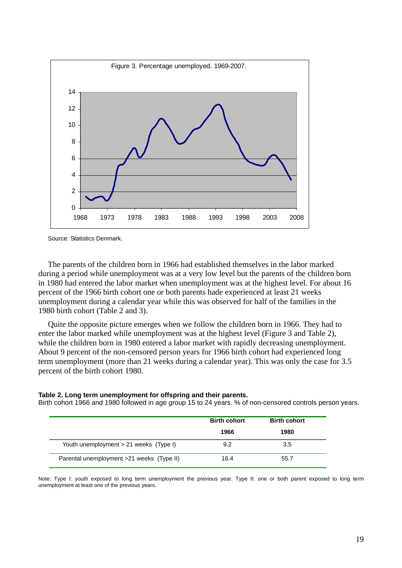

Source: Statistics Denmark.

The parents of the children born in 1966 had established themselves in the labor marked during a period while unemployment was at a very low level but the parents of the children born in 1980 had entered the labor market when unemployment was at the highest level. For about 16 percent of the 1966 birth cohort one or both parents hade experienced at least 21 weeks unemployment during a calendar year while this was observed for half of the families in the 1980 birth cohort (Table 2 and 3).

Quite the opposite picture emerges when we follow the children born in 1966. They had to enter the labor marked while unemployment was at the highest level (Figure 3 and Table 2), while the children born in 1980 entered a labor market with rapidly decreasing unemployment. About 9 percent of the non-censored person years for 1966 birth cohort had experienced long term unemployment (more than 21 weeks during a calendar year). This was only the case for 3.5 percent of the birth cohort 1980.

#### **Table 2. Long term unemployment for offspring and their parents.**

Birth cohort 1966 and 1980 followed in age group 15 to 24 years. % of non-censored controls person years.

|                                           | <b>Birth cohort</b> | <b>Birth cohort</b> |
|-------------------------------------------|---------------------|---------------------|
|                                           | 1966                | 1980                |
| Youth unemployment > 21 weeks (Type I)    | 9.2                 | 3.5                 |
| Parental unemployment >21 weeks (Type II) | 16.4                | 55.7                |

Note: Type I: youth exposed to long term unemployment the previous year. Type II: one or both parent exposed to long term unemployment at least one of the previous years.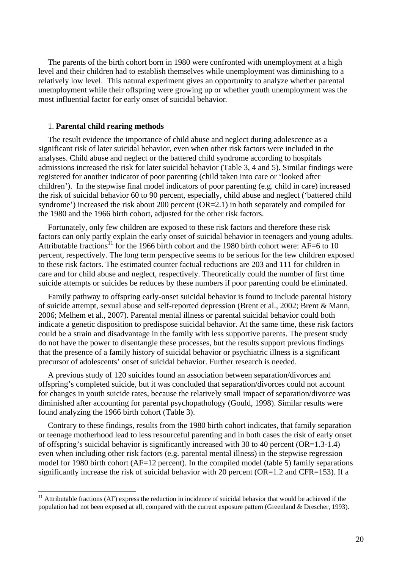The parents of the birth cohort born in 1980 were confronted with unemployment at a high level and their children had to establish themselves while unemployment was diminishing to a relatively low level. This natural experiment gives an opportunity to analyze whether parental unemployment while their offspring were growing up or whether youth unemployment was the most influential factor for early onset of suicidal behavior.

#### 1. **Parental child rearing methods**

 $\overline{a}$ 

The result evidence the importance of child abuse and neglect during adolescence as a significant risk of later suicidal behavior, even when other risk factors were included in the analyses. Child abuse and neglect or the battered child syndrome according to hospitals admissions increased the risk for later suicidal behavior (Table 3, 4 and 5). Similar findings were registered for another indicator of poor parenting (child taken into care or 'looked after children'). In the stepwise final model indicators of poor parenting (e.g. child in care) increased the risk of suicidal behavior 60 to 90 percent, especially, child abuse and neglect ('battered child syndrome') increased the risk about 200 percent (OR=2.1) in both separately and compiled for the 1980 and the 1966 birth cohort, adjusted for the other risk factors.

Fortunately, only few children are exposed to these risk factors and therefore these risk factors can only partly explain the early onset of suicidal behavior in teenagers and young adults. Attributable fractions<sup>11</sup> for the 1966 birth cohort and the 1980 birth cohort were: AF=6 to 10 percent, respectively. The long term perspective seems to be serious for the few children exposed to these risk factors. The estimated counter factual reductions are 203 and 111 for children in care and for child abuse and neglect, respectively. Theoretically could the number of first time suicide attempts or suicides be reduces by these numbers if poor parenting could be eliminated.

Family pathway to offspring early-onset suicidal behavior is found to include parental history of suicide attempt, sexual abuse and self-reported depression (Brent et al., 2002; Brent & Mann, 2006; Melhem et al., 2007). Parental mental illness or parental suicidal behavior could both indicate a genetic disposition to predispose suicidal behavior. At the same time, these risk factors could be a strain and disadvantage in the family with less supportive parents. The present study do not have the power to disentangle these processes, but the results support previous findings that the presence of a family history of suicidal behavior or psychiatric illness is a significant precursor of adolescents' onset of suicidal behavior. Further research is needed.

A previous study of 120 suicides found an association between separation/divorces and offspring's completed suicide, but it was concluded that separation/divorces could not account for changes in youth suicide rates, because the relatively small impact of separation/divorce was diminished after accounting for parental psychopathology (Gould, 1998). Similar results were found analyzing the 1966 birth cohort (Table 3).

Contrary to these findings, results from the 1980 birth cohort indicates, that family separation or teenage motherhood lead to less resourceful parenting and in both cases the risk of early onset of offspring's suicidal behavior is significantly increased with 30 to 40 percent ( $OR=1.3-1.4$ ) even when including other risk factors (e.g. parental mental illness) in the stepwise regression model for 1980 birth cohort (AF=12 percent). In the compiled model (table 5) family separations significantly increase the risk of suicidal behavior with 20 percent (OR=1.2 and CFR=153). If a

<span id="page-21-0"></span> $11$  Attributable fractions (AF) express the reduction in incidence of suicidal behavior that would be achieved if the population had not been exposed at all, compared with the current exposure pattern (Greenland & Drescher, 1993).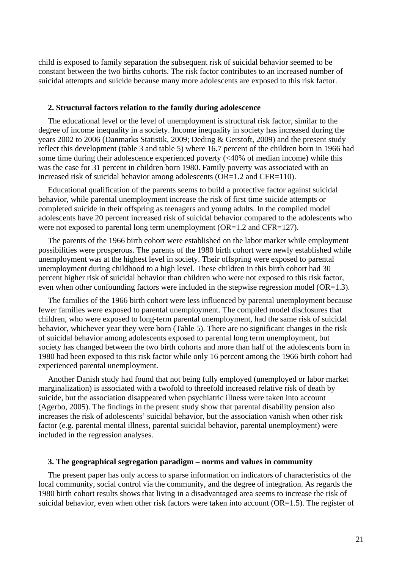child is exposed to family separation the subsequent risk of suicidal behavior seemed to be constant between the two births cohorts. The risk factor contributes to an increased number of suicidal attempts and suicide because many more adolescents are exposed to this risk factor.

#### **2. Structural factors relation to the family during adolescence**

The educational level or the level of unemployment is structural risk factor, similar to the degree of income inequality in a society. Income inequality in society has increased during the years 2002 to 2006 (Danmarks Statistik, 2009; Deding & Gerstoft, 2009) and the present study reflect this development (table 3 and table 5) where 16.7 percent of the children born in 1966 had some time during their adolescence experienced poverty  $\ll 40\%$  of median income) while this was the case for 31 percent in children born 1980. Family poverty was associated with an increased risk of suicidal behavior among adolescents (OR=1.2 and CFR=110).

Educational qualification of the parents seems to build a protective factor against suicidal behavior, while parental unemployment increase the risk of first time suicide attempts or completed suicide in their offspring as teenagers and young adults. In the compiled model adolescents have 20 percent increased risk of suicidal behavior compared to the adolescents who were not exposed to parental long term unemployment (OR=1.2 and CFR=127).

The parents of the 1966 birth cohort were established on the labor market while employment possibilities were prosperous. The parents of the 1980 birth cohort were newly established while unemployment was at the highest level in society. Their offspring were exposed to parental unemployment during childhood to a high level. These children in this birth cohort had 30 percent higher risk of suicidal behavior than children who were not exposed to this risk factor, even when other confounding factors were included in the stepwise regression model (OR=1.3).

The families of the 1966 birth cohort were less influenced by parental unemployment because fewer families were exposed to parental unemployment. The compiled model disclosures that children, who were exposed to long-term parental unemployment, had the same risk of suicidal behavior, whichever year they were born (Table 5). There are no significant changes in the risk of suicidal behavior among adolescents exposed to parental long term unemployment, but society has changed between the two birth cohorts and more than half of the adolescents born in 1980 had been exposed to this risk factor while only 16 percent among the 1966 birth cohort had experienced parental unemployment.

Another Danish study had found that not being fully employed (unemployed or labor market marginalization) is associated with a twofold to threefold increased relative risk of death by suicide, but the association disappeared when psychiatric illness were taken into account (Agerbo, 2005). The findings in the present study show that parental disability pension also increases the risk of adolescents' suicidal behavior, but the association vanish when other risk factor (e.g. parental mental illness, parental suicidal behavior, parental unemployment) were included in the regression analyses.

#### **3. The geographical segregation paradigm – norms and values in community**

The present paper has only access to sparse information on indicators of characteristics of the local community, social control via the community, and the degree of integration. As regards the 1980 birth cohort results shows that living in a disadvantaged area seems to increase the risk of suicidal behavior, even when other risk factors were taken into account  $(OR=1.5)$ . The register of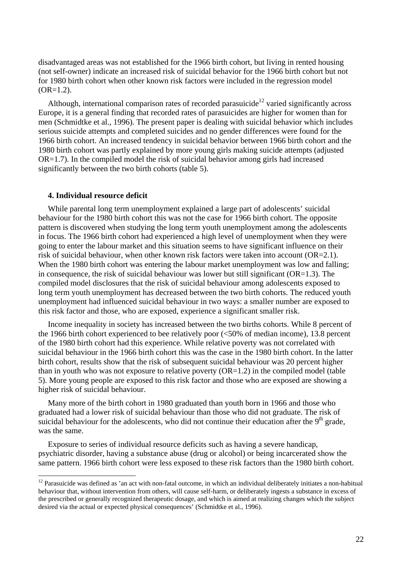disadvantaged areas was not established for the 1966 birth cohort, but living in rented housing (not self-owner) indicate an increased risk of suicidal behavior for the 1966 birth cohort but not for 1980 birth cohort when other known risk factors were included in the regression model  $(OR=1.2)$ .

Although, international comparison rates of recorded parasuicide<sup>12</sup> varied significantly across Europe, it is a general finding that recorded rates of parasuicides are higher for women than for men (Schmidtke et al., 1996). The present paper is dealing with suicidal behavior which includes serious suicide attempts and completed suicides and no gender differences were found for the 1966 birth cohort. An increased tendency in suicidal behavior between 1966 birth cohort and the 1980 birth cohort was partly explained by more young girls making suicide attempts (adjusted OR=1.7). In the compiled model the risk of suicidal behavior among girls had increased significantly between the two birth cohorts (table 5).

#### **4. Individual resource deficit**

 $\overline{a}$ 

While parental long term unemployment explained a large part of adolescents' suicidal behaviour for the 1980 birth cohort this was not the case for 1966 birth cohort. The opposite pattern is discovered when studying the long term youth unemployment among the adolescents in focus. The 1966 birth cohort had experienced a high level of unemployment when they were going to enter the labour market and this situation seems to have significant influence on their risk of suicidal behaviour, when other known risk factors were taken into account (OR=2.1). When the 1980 birth cohort was entering the labour market unemployment was low and falling; in consequence, the risk of suicidal behaviour was lower but still significant  $(OR=1.3)$ . The compiled model disclosures that the risk of suicidal behaviour among adolescents exposed to long term youth unemployment has decreased between the two birth cohorts. The reduced youth unemployment had influenced suicidal behaviour in two ways: a smaller number are exposed to this risk factor and those, who are exposed, experience a significant smaller risk.

Income inequality in society has increased between the two births cohorts. While 8 percent of the 1966 birth cohort experienced to bee relatively poor (<50% of median income), 13.8 percent of the 1980 birth cohort had this experience. While relative poverty was not correlated with suicidal behaviour in the 1966 birth cohort this was the case in the 1980 birth cohort. In the latter birth cohort, results show that the risk of subsequent suicidal behaviour was 20 percent higher than in youth who was not exposure to relative poverty  $(OR=1.2)$  in the compiled model (table 5). More young people are exposed to this risk factor and those who are exposed are showing a higher risk of suicidal behaviour.

Many more of the birth cohort in 1980 graduated than youth born in 1966 and those who graduated had a lower risk of suicidal behaviour than those who did not graduate. The risk of suicidal behaviour for the adolescents, who did not continue their education after the  $9<sup>th</sup>$  grade, was the same.

Exposure to series of individual resource deficits such as having a severe handicap, psychiatric disorder, having a substance abuse (drug or alcohol) or being incarcerated show the same pattern. 1966 birth cohort were less exposed to these risk factors than the 1980 birth cohort.

<span id="page-23-0"></span> $12$  Parasuicide was defined as 'an act with non-fatal outcome, in which an individual deliberately initiates a non-habitual behaviour that, without intervention from others, will cause self-harm, or deliberately ingests a substance in excess of the prescribed or generally recognized therapeutic dosage, and which is aimed at realizing changes which the subject desired via the actual or expected physical consequences' (Schmidtke et al., 1996).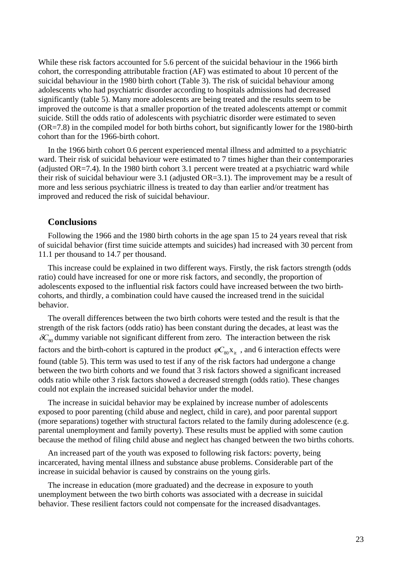While these risk factors accounted for 5.6 percent of the suicidal behaviour in the 1966 birth cohort, the corresponding attributable fraction (AF) was estimated to about 10 percent of the suicidal behaviour in the 1980 birth cohort (Table 3). The risk of suicidal behaviour among adolescents who had psychiatric disorder according to hospitals admissions had decreased significantly (table 5). Many more adolescents are being treated and the results seem to be improved the outcome is that a smaller proportion of the treated adolescents attempt or commit suicide. Still the odds ratio of adolescents with psychiatric disorder were estimated to seven (OR=7.8) in the compiled model for both births cohort, but significantly lower for the 1980-birth cohort than for the 1966-birth cohort.

In the 1966 birth cohort 0.6 percent experienced mental illness and admitted to a psychiatric ward. Their risk of suicidal behaviour were estimated to 7 times higher than their contemporaries (adjusted OR=7.4). In the 1980 birth cohort 3.1 percent were treated at a psychiatric ward while their risk of suicidal behaviour were 3.1 (adjusted OR=3.1). The improvement may be a result of more and less serious psychiatric illness is treated to day than earlier and/or treatment has improved and reduced the risk of suicidal behaviour.

#### **Conclusions**

Following the 1966 and the 1980 birth cohorts in the age span 15 to 24 years reveal that risk of suicidal behavior (first time suicide attempts and suicides) had increased with 30 percent from 11.1 per thousand to 14.7 per thousand.

This increase could be explained in two different ways. Firstly, the risk factors strength (odds ratio) could have increased for one or more risk factors, and secondly, the proportion of adolescents exposed to the influential risk factors could have increased between the two birthcohorts, and thirdly, a combination could have caused the increased trend in the suicidal behavior.

The overall differences between the two birth cohorts were tested and the result is that the strength of the risk factors (odds ratio) has been constant during the decades, at least was the  $\delta C_{80}$  dummy variable not significant different from zero. The interaction between the risk factors and the birth-cohort is captured in the product  $\varphi C_{80}x_{it}$ , and 6 interaction effects were found (table 5). This term was used to test if any of the risk factors had undergone a change between the two birth cohorts and we found that 3 risk factors showed a significant increased odds ratio while other 3 risk factors showed a decreased strength (odds ratio). These changes could not explain the increased suicidal behavior under the model.

The increase in suicidal behavior may be explained by increase number of adolescents exposed to poor parenting (child abuse and neglect, child in care), and poor parental support (more separations) together with structural factors related to the family during adolescence (e.g. parental unemployment and family poverty). These results must be applied with some caution because the method of filing child abuse and neglect has changed between the two births cohorts.

An increased part of the youth was exposed to following risk factors: poverty, being incarcerated, having mental illness and substance abuse problems. Considerable part of the increase in suicidal behavior is caused by constrains on the young girls.

The increase in education (more graduated) and the decrease in exposure to youth unemployment between the two birth cohorts was associated with a decrease in suicidal behavior. These resilient factors could not compensate for the increased disadvantages.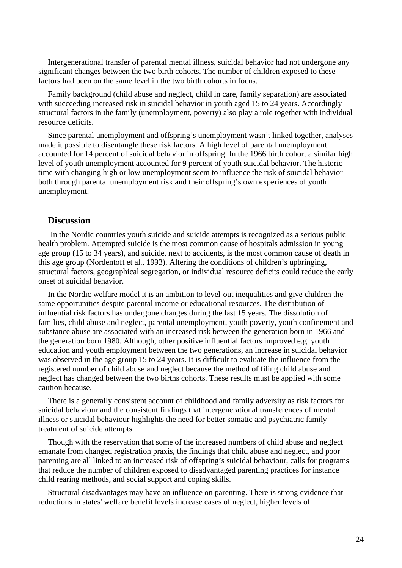Intergenerational transfer of parental mental illness, suicidal behavior had not undergone any significant changes between the two birth cohorts. The number of children exposed to these factors had been on the same level in the two birth cohorts in focus.

Family background (child abuse and neglect, child in care, family separation) are associated with succeeding increased risk in suicidal behavior in youth aged 15 to 24 years. Accordingly structural factors in the family (unemployment, poverty) also play a role together with individual resource deficits.

Since parental unemployment and offspring's unemployment wasn't linked together, analyses made it possible to disentangle these risk factors. A high level of parental unemployment accounted for 14 percent of suicidal behavior in offspring. In the 1966 birth cohort a similar high level of youth unemployment accounted for 9 percent of youth suicidal behavior. The historic time with changing high or low unemployment seem to influence the risk of suicidal behavior both through parental unemployment risk and their offspring's own experiences of youth unemployment.

## **Discussion**

In the Nordic countries youth suicide and suicide attempts is recognized as a serious public health problem. Attempted suicide is the most common cause of hospitals admission in young age group (15 to 34 years), and suicide, next to accidents, is the most common cause of death in this age group (Nordentoft et al., 1993). Altering the conditions of children's upbringing, structural factors, geographical segregation, or individual resource deficits could reduce the early onset of suicidal behavior.

In the Nordic welfare model it is an ambition to level-out inequalities and give children the same opportunities despite parental income or educational resources. The distribution of influential risk factors has undergone changes during the last 15 years. The dissolution of families, child abuse and neglect, parental unemployment, youth poverty, youth confinement and substance abuse are associated with an increased risk between the generation born in 1966 and the generation born 1980. Although, other positive influential factors improved e.g. youth education and youth employment between the two generations, an increase in suicidal behavior was observed in the age group 15 to 24 years. It is difficult to evaluate the influence from the registered number of child abuse and neglect because the method of filing child abuse and neglect has changed between the two births cohorts. These results must be applied with some caution because.

There is a generally consistent account of childhood and family adversity as risk factors for suicidal behaviour and the consistent findings that intergenerational transferences of mental illness or suicidal behaviour highlights the need for better somatic and psychiatric family treatment of suicide attempts.

Though with the reservation that some of the increased numbers of child abuse and neglect emanate from changed registration praxis, the findings that child abuse and neglect, and poor parenting are all linked to an increased risk of offspring's suicidal behaviour, calls for programs that reduce the number of children exposed to disadvantaged parenting practices for instance child rearing methods, and social support and coping skills.

Structural disadvantages may have an influence on parenting. There is strong evidence that reductions in states' welfare benefit levels increase cases of neglect, higher levels of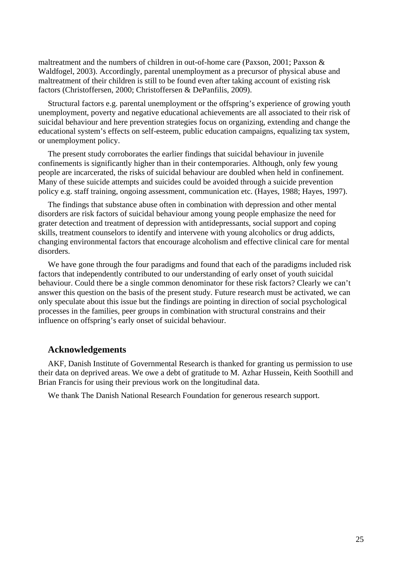maltreatment and the numbers of children in out-of-home care (Paxson, 2001; Paxson & Waldfogel, 2003). Accordingly, parental unemployment as a precursor of physical abuse and maltreatment of their children is still to be found even after taking account of existing risk factors (Christoffersen, 2000; Christoffersen & DePanfilis, 2009).

Structural factors e.g. parental unemployment or the offspring's experience of growing youth unemployment, poverty and negative educational achievements are all associated to their risk of suicidal behaviour and here prevention strategies focus on organizing, extending and change the educational system's effects on self-esteem, public education campaigns, equalizing tax system, or unemployment policy.

The present study corroborates the earlier findings that suicidal behaviour in juvenile confinements is significantly higher than in their contemporaries. Although, only few young people are incarcerated, the risks of suicidal behaviour are doubled when held in confinement. Many of these suicide attempts and suicides could be avoided through a suicide prevention policy e.g. staff training, ongoing assessment, communication etc. (Hayes, 1988; Hayes, 1997).

The findings that substance abuse often in combination with depression and other mental disorders are risk factors of suicidal behaviour among young people emphasize the need for grater detection and treatment of depression with antidepressants, social support and coping skills, treatment counselors to identify and intervene with young alcoholics or drug addicts, changing environmental factors that encourage alcoholism and effective clinical care for mental disorders.

We have gone through the four paradigms and found that each of the paradigms included risk factors that independently contributed to our understanding of early onset of youth suicidal behaviour. Could there be a single common denominator for these risk factors? Clearly we can't answer this question on the basis of the present study. Future research must be activated, we can only speculate about this issue but the findings are pointing in direction of social psychological processes in the families, peer groups in combination with structural constrains and their influence on offspring's early onset of suicidal behaviour.

### **Acknowledgements**

AKF, Danish Institute of Governmental Research is thanked for granting us permission to use their data on deprived areas. We owe a debt of gratitude to M. Azhar Hussein, Keith Soothill and Brian Francis for using their previous work on the longitudinal data.

We thank The Danish National Research Foundation for generous research support.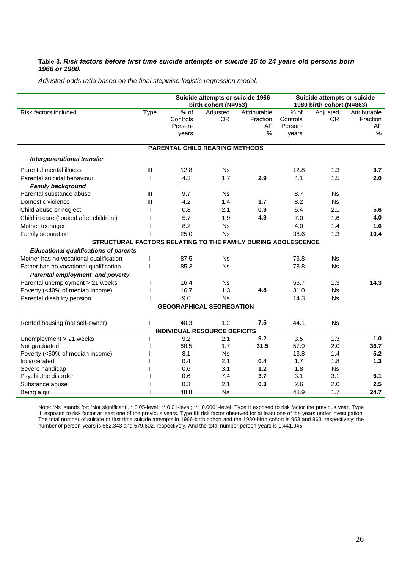#### **Table 3.** *Risk factors before first time suicide attempts or suicide 15 to 24 years old persons born 1966 or 1980.*

*Adjusted odds ratio based on the final stepwise logistic regression model.* 

|                                                              |              |                                       | Suicide attempts or suicide 1966<br>birth cohort (N=953) |              | Suicide attempts or suicide<br>1980 birth cohort (N=863) |           |              |
|--------------------------------------------------------------|--------------|---------------------------------------|----------------------------------------------------------|--------------|----------------------------------------------------------|-----------|--------------|
| Risk factors included                                        | <b>Type</b>  | $%$ of                                | Adjusted                                                 | Attributable | $%$ of                                                   | Adjusted  | Attributable |
|                                                              |              | Controls                              | OR.                                                      | Fraction     | Controls                                                 | OR.       | Fraction     |
|                                                              |              | Person-                               |                                                          | AF           | Person-                                                  |           | AF           |
|                                                              |              | years                                 |                                                          | %            | years                                                    |           | $\%$         |
|                                                              |              | <b>PARENTAL CHILD REARING METHODS</b> |                                                          |              |                                                          |           |              |
| Intergenerational transfer                                   |              |                                       |                                                          |              |                                                          |           |              |
| Parental mental illness                                      | Ш            | 12.8                                  | <b>Ns</b>                                                |              | 12.8                                                     | 1.3       | 3.7          |
| Parental suicidal behaviour                                  | Ш            | 4.3                                   | 1.7                                                      | 2.9          | 4.1                                                      | 1.5       | 2.0          |
| <b>Family background</b>                                     |              |                                       |                                                          |              |                                                          |           |              |
| Parental substance abuse                                     | Ш            | 9.7                                   | <b>Ns</b>                                                |              | 8.7                                                      | <b>Ns</b> |              |
| Domestic violence                                            | Ш            | 4.2                                   | 1.4                                                      | 1.7          | 8.2                                                      | <b>Ns</b> |              |
| Child abuse or neglect                                       | Ш            | 0.8                                   | 2.1                                                      | 0.9          | 5.4                                                      | 2.1       | 5.6          |
| Child in care ('looked after children')                      | Ш            | 5.7                                   | 1.9                                                      | 4.9          | 7.0                                                      | 1.6       | 4.0          |
| Mother teenager                                              | Ш            | 8.2                                   | <b>Ns</b>                                                |              | 4.0                                                      | 1.4       | 1.6          |
| Family separation                                            | $\mathbf{I}$ | 25.0                                  | <b>Ns</b>                                                |              | 38.6                                                     | 1.3       | 10.4         |
| STRUCTURAL FACTORS RELATING TO THE FAMILY DURING ADOLESCENCE |              |                                       |                                                          |              |                                                          |           |              |
| <b>Educational qualifications of parents</b>                 |              |                                       |                                                          |              |                                                          |           |              |
| Mother has no vocational qualification                       |              | 87.5                                  | <b>Ns</b>                                                |              | 73.8                                                     | <b>Ns</b> |              |
| Father has no vocational qualification                       |              | 85.3                                  | <b>Ns</b>                                                |              | 78.8                                                     | <b>Ns</b> |              |
| Parental employment and poverty                              |              |                                       |                                                          |              |                                                          |           |              |
| Parental unemployment > 21 weeks                             | Ш            | 16.4                                  | <b>Ns</b>                                                |              | 55.7                                                     | 1.3       | 14.3         |
| Poverty (<40% of median income)                              | $\mathbf{I}$ | 16.7                                  | 1.3                                                      | 4.8          | 31.0                                                     | <b>Ns</b> |              |
| Parental disability pension                                  | Ш            | 9.0                                   | <b>Ns</b>                                                |              | 14.3                                                     | <b>Ns</b> |              |
|                                                              |              | <b>GEOGRAPHICAL SEGREGATION</b>       |                                                          |              |                                                          |           |              |
| Rented housing (not self-owner)                              |              | 40.3                                  | 1.2                                                      | 7.5          | 44.1                                                     | <b>Ns</b> |              |
|                                                              |              | <b>INDIVIDUAL RESOURCE DEFICITS</b>   |                                                          |              |                                                          |           |              |
| Unemployment > 21 weeks                                      |              | 9.2                                   | 2.1                                                      | 9.2          | 3.5                                                      | 1.3       | 1.0          |
| Not graduated                                                | Ш            | 68.5                                  | 1.7                                                      | 31.5         | 57.9                                                     | 2.0       | 36.7         |
| Poverty (<50% of median income)                              |              | 8.1                                   | <b>Ns</b>                                                |              | 13.8                                                     | 1.4       | 5.2          |
| Incarcerated                                                 |              | 0.4                                   | 2.1                                                      | 0.4          | 1.7                                                      | 1.8       | 1.3          |
| Severe handicap                                              |              | 0.6                                   | 3.1                                                      | 1.2          | 1.8                                                      | Ns.       |              |
| Psychiatric disorder                                         | Ш            | 0.6                                   | 7.4                                                      | 3.7          | 3.1                                                      | 3.1       | 6.1          |
| Substance abuse                                              | Ш            | 0.3                                   | 2.1                                                      | 0.3          | 2.6                                                      | 2.0       | 2.5          |
| Being a girl                                                 | Ш            | 48.8                                  | <b>Ns</b>                                                |              | 48.9                                                     | 1.7       | 24.7         |

Note: 'Ns' stands for: 'Not significant'. \* 0.05-level; \*\* 0.01-level; \*\*\* 0.0001-level. Type I: exposed to risk factor the previous year. Type II: exposed to risk factor at least one of the previous years. Type III: risk factor observed for at least one of the years under investigation. The total number of suicide or first time suicide attempts in 1966-birth cohort and the 1980-birth cohort is 953 and 863, respectively; the number of person-years is 862,343 and 579,602, respectively. And the total number person-years is 1,441,945.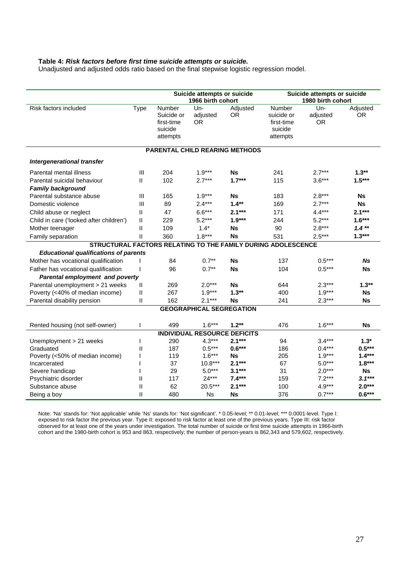#### **Table 4:** *Risk factors before first time suicide attempts or suicide.*

Unadjusted and adjusted odds ratio based on the final stepwise logistic regression model.

|                                                              |              | Suicide attempts or suicide |                                     |                                       | Suicide attempts or suicide |          |           |  |
|--------------------------------------------------------------|--------------|-----------------------------|-------------------------------------|---------------------------------------|-----------------------------|----------|-----------|--|
|                                                              |              |                             | 1966 birth cohort                   |                                       | 1980 birth cohort           |          |           |  |
| Risk factors included                                        | Type         | Number                      | Un-                                 | Adjusted                              | Number                      | Un-      | Adjusted  |  |
|                                                              |              | Suicide or                  | adjusted                            | 0R                                    | suicide or                  | adjusted | <b>OR</b> |  |
|                                                              |              | first-time<br>suicide       | OR                                  |                                       | first-time<br>suicide       | 0R       |           |  |
|                                                              |              | attempts                    |                                     |                                       | attempts                    |          |           |  |
|                                                              |              |                             |                                     |                                       |                             |          |           |  |
|                                                              |              |                             |                                     | <b>PARENTAL CHILD REARING METHODS</b> |                             |          |           |  |
| Intergenerational transfer                                   |              |                             |                                     |                                       |                             |          |           |  |
| Parental mental illness                                      | Ш            | 204                         | $1.9***$                            | <b>Ns</b>                             | 241                         | $2.7***$ | $1.3**$   |  |
| Parental suicidal behaviour                                  | $\mathbf{H}$ | 102                         | $2.7***$                            | $1.7***$                              | 115                         | $3.6***$ | $1.5***$  |  |
| <b>Family background</b>                                     |              |                             |                                     |                                       |                             |          |           |  |
| Parental substance abuse                                     | Ш            | 165                         | $1.9***$                            | <b>Ns</b>                             | 183                         | $2.8***$ | Ns        |  |
| Domestic violence                                            | Ш            | 89                          | $2.4***$                            | $1.4**$                               | 169                         | $2.7***$ | Ns        |  |
| Child abuse or neglect                                       | Ш            | 47                          | $6.6***$                            | $2.1***$                              | 171                         | $4.4***$ | $2.1***$  |  |
| Child in care ('looked after children')                      | Ш            | 229                         | $5.2***$                            | $1.9***$                              | 244                         | $5.2***$ | $1.6***$  |  |
| Mother teenager                                              | Ш            | 109                         | $1.4*$                              | Ns                                    | 90                          | $2.8***$ | $1.4**$   |  |
| Family separation                                            | Ш            | 360                         | $1.8***$                            | <b>Ns</b>                             | 531                         | $2.5***$ | $1.3***$  |  |
| STRUCTURAL FACTORS RELATING TO THE FAMILY DURING ADOLESCENCE |              |                             |                                     |                                       |                             |          |           |  |
| <b>Educational qualifications of parents</b>                 |              |                             |                                     |                                       |                             |          |           |  |
| Mother has vocational qualification                          |              | 84                          | $0.7**$                             | <b>Ns</b>                             | 137                         | $0.5***$ | Ns        |  |
| Father has vocational qualification                          |              | 96                          | $0.7**$                             | <b>Ns</b>                             | 104                         | $0.5***$ | Ns        |  |
| <b>Parental employment and poverty</b>                       |              |                             |                                     |                                       |                             |          |           |  |
| Parental unemployment > 21 weeks                             | Ш            | 269                         | $2.0***$                            | Ns                                    | 644                         | $2.3***$ | $1.3**$   |  |
| Poverty (<40% of median income)                              | Ш            | 267                         | $1.9***$                            | $1.3**$                               | 400                         | $1.9***$ | Ns        |  |
| Parental disability pension                                  | Ш            | 162                         | $2.1***$                            | Ns                                    | 241                         | $2.3***$ | Ns        |  |
|                                                              |              |                             | <b>GEOGRAPHICAL SEGREGATION</b>     |                                       |                             |          |           |  |
| Rented housing (not self-owner)                              | I            | 499                         | $1.6***$                            | $1.2**$                               | 476                         | $1.6***$ | Ns        |  |
|                                                              |              |                             | <b>INDIVIDUAL RESOURCE DEFICITS</b> |                                       |                             |          |           |  |
| Unemployment > 21 weeks                                      | I            | 290                         | $4.3***$                            | $2.1***$                              | 94                          | $3.4***$ | $1.3*$    |  |
| Graduated                                                    | Ш            | 187                         | $0.5***$                            | $0.6***$                              | 186                         | $0.4***$ | $0.5***$  |  |
| Poverty (<50% of median income)                              |              | 119                         | $1.6***$                            | Ns                                    | 205                         | $1.9***$ | $1.4***$  |  |
| Incarcerated                                                 |              | 37                          | $10.8***$                           | $2.1***$                              | 67                          | $5.0***$ | $1.8***$  |  |
| Severe handicap                                              |              | 29                          | $5.0***$                            | $3.1***$                              | 31                          | $2.0***$ | Ns.       |  |
| Psychiatric disorder                                         | Ш            | 117                         | $24***$                             | $7.4***$                              | 159                         | $7.2***$ | $3.1***$  |  |
| Substance abuse                                              | Ш            | 62                          | 20.5***                             | $2.1***$                              | 100                         | $4.9***$ | $2.0***$  |  |
| Being a boy                                                  | Ш            | 480                         | Ns                                  | Ns                                    | 376                         | $0.7***$ | $0.6***$  |  |

Note: 'Na' stands for: 'Not applicable' while 'Ns' stands for: 'Not significant'. \* 0.05-level; \*\* 0.01-level; \*\*\* 0.0001-level. Type I: exposed to risk factor the previous year. Type II: exposed to risk factor at least one of the previous years. Type III: risk factor observed for at least one of the years under investigation. The total number of suicide or first time suicide attempts in 1966-birth cohort and the 1980-birth cohort is 953 and 863, respectively; the number of person-years is 862,343 and 579,602, respectively.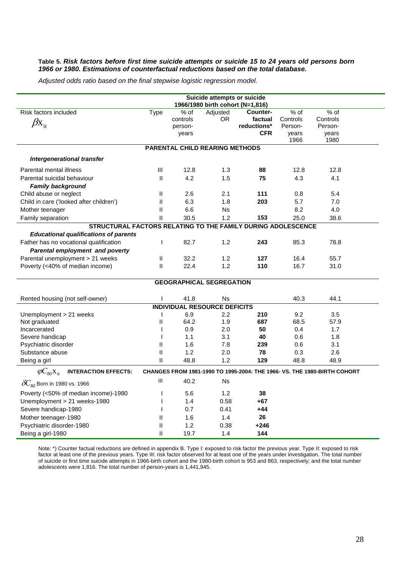#### **Table 5.** *Risk factors before first time suicide attempts or suicide 15 to 24 years old persons born 1966 or 1980. Estimations of counterfactual reductions based on the total database.*

*Adjusted odds ratio based on the final stepwise logistic regression model.* 

|                                                              |                            |                                      | Suicide attempts or suicide           |                                                                                      |                                              |                                                                          |
|--------------------------------------------------------------|----------------------------|--------------------------------------|---------------------------------------|--------------------------------------------------------------------------------------|----------------------------------------------|--------------------------------------------------------------------------|
| <b>Risk factors included</b><br>$\beta x_{it}$               | <b>Type</b>                | % of<br>controls<br>person-<br>years | Adjusted<br>OR.                       | 1966/1980 birth cohort (N=1,816)<br>Counter-<br>factual<br>reductions*<br><b>CFR</b> | % of<br>Controls<br>Person-<br>years<br>1966 | % of<br>Controls<br>Person-<br>years<br>1980                             |
|                                                              |                            |                                      | <b>PARENTAL CHILD REARING METHODS</b> |                                                                                      |                                              |                                                                          |
| Intergenerational transfer                                   |                            |                                      |                                       |                                                                                      |                                              |                                                                          |
| Parental mental illness                                      | Ш                          | 12.8                                 | 1.3                                   | 88                                                                                   | 12.8                                         | 12.8                                                                     |
| Parental suicidal behaviour                                  | $\ensuremath{\mathsf{II}}$ | 4.2                                  | 1.5                                   | 75                                                                                   | 4.3                                          | 4.1                                                                      |
| <b>Family background</b>                                     |                            |                                      |                                       |                                                                                      |                                              |                                                                          |
| Child abuse or neglect                                       | $\mathbf{I}$               | 2.6                                  | 2.1                                   | 111                                                                                  | 0.8                                          | 5.4                                                                      |
| Child in care ('looked after children')                      | Ш                          | 6.3                                  | 1.8                                   | 203                                                                                  | 5.7                                          | 7.0                                                                      |
| Mother teenager                                              | $\mathbf{I}$               | 6.6                                  | <b>Ns</b>                             |                                                                                      | 8.2                                          | 4.0                                                                      |
| Family separation                                            | $\mathbf{I}$               | 30.5                                 | 1.2                                   | 153                                                                                  | 25.0                                         | 38.6                                                                     |
| STRUCTURAL FACTORS RELATING TO THE FAMILY DURING ADOLESCENCE |                            |                                      |                                       |                                                                                      |                                              |                                                                          |
| <b>Educational qualifications of parents</b>                 |                            |                                      |                                       |                                                                                      |                                              |                                                                          |
| Father has no vocational qualification                       | $\mathbf{I}$               | 82.7                                 | 1.2                                   | 243                                                                                  | 85.3                                         | 78.8                                                                     |
| Parental employment and poverty                              |                            |                                      |                                       |                                                                                      |                                              |                                                                          |
| Parental unemployment > 21 weeks                             | Ш                          | 32.2                                 | 1.2                                   | 127                                                                                  | 16.4                                         | 55.7                                                                     |
| Poverty (<40% of median income)                              | Ш                          | 22.4                                 | 1.2                                   | 110                                                                                  | 16.7                                         | 31.0                                                                     |
|                                                              |                            |                                      | <b>GEOGRAPHICAL SEGREGATION</b>       |                                                                                      |                                              |                                                                          |
| Rented housing (not self-owner)                              |                            | 41.8                                 | Ns                                    |                                                                                      | 40.3                                         | 44.1                                                                     |
|                                                              |                            |                                      | <b>INDIVIDUAL RESOURCE DEFICITS</b>   |                                                                                      |                                              |                                                                          |
| Unemployment > 21 weeks                                      | $\mathbf{I}$               | 6.9                                  | 2.2                                   | 210                                                                                  | 9.2                                          | 3.5                                                                      |
| Not graduated                                                | Ш                          | 64.2                                 | 1.9                                   | 687                                                                                  | 68.5                                         | 57.9                                                                     |
| Incarcerated                                                 | $\mathbf{I}$               | 0.9                                  | 2.0                                   | 50                                                                                   | 0.4                                          | 1.7                                                                      |
| Severe handicap                                              |                            | 1.1                                  | 3.1                                   | 40                                                                                   | 0.6                                          | 1.8                                                                      |
| Psychiatric disorder                                         | $\mathbf{I}$               | 1.6                                  | 7.8                                   | 239                                                                                  | 0.6                                          | 3.1                                                                      |
| Substance abuse                                              | $\mathbf{I}$               | 1.2                                  | 2.0                                   | 78                                                                                   | 0.3                                          | 2.6                                                                      |
| Being a girl                                                 | II                         | 48.8                                 | 1.2                                   | 129                                                                                  | 48.8                                         | 48.9                                                                     |
| $\varphi C_{80}X_{\rm it}$<br><b>INTERACTION EFFECTS:</b>    |                            |                                      |                                       |                                                                                      |                                              | CHANGES FROM 1981-1990 TO 1995-2004: THE 1966- VS. THE 1980-BIRTH COHORT |
| $\delta C_{\text{so}}$ Born in 1980 vs. 1966                 | Ш                          | 40.2                                 | Ns                                    |                                                                                      |                                              |                                                                          |
| Poverty (<50% of median income)-1980                         |                            | 5.6                                  | 1.2                                   | 38                                                                                   |                                              |                                                                          |
| Unemployment > 21 weeks-1980                                 |                            | 1.4                                  | 0.58                                  | +67                                                                                  |                                              |                                                                          |
| Severe handicap-1980                                         |                            | 0.7                                  | 0.41                                  | $+44$                                                                                |                                              |                                                                          |
| Mother teenager-1980                                         | Ш                          | 1.6                                  | 1.4                                   | 26                                                                                   |                                              |                                                                          |
| Psychiatric disorder-1980                                    | Ш                          | 1.2                                  | 0.38                                  | +246                                                                                 |                                              |                                                                          |
| Being a girl-1980                                            | Ш                          | 19.7                                 | 1.4                                   | 144                                                                                  |                                              |                                                                          |

Note: \*) Counter factual reductions are defined in appendix B. Type I: exposed to risk factor the previous year. Type II: exposed to risk factor at least one of the previous years. Type III: risk factor observed for at least one of the years under investigation. The total number of suicide or first time suicide attempts in 1966-birth cohort and the 1980-birth cohort is 953 and 863, respectively; and the total number adolescents were 1,816. The total number of person-years is 1,441,945.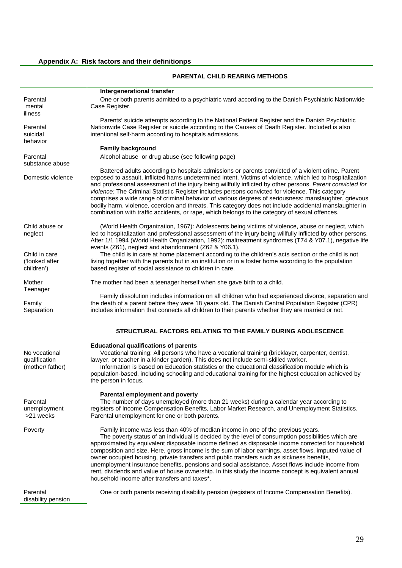## **Appendix A: Risk factors and their definitionps**

|                                                   | <b>PARENTAL CHILD REARING METHODS</b>                                                                                                                                                                                                                                                                                                                                                                                                                                                                                                                                                                                                                                                                                                                     |
|---------------------------------------------------|-----------------------------------------------------------------------------------------------------------------------------------------------------------------------------------------------------------------------------------------------------------------------------------------------------------------------------------------------------------------------------------------------------------------------------------------------------------------------------------------------------------------------------------------------------------------------------------------------------------------------------------------------------------------------------------------------------------------------------------------------------------|
|                                                   | Intergenerational transfer                                                                                                                                                                                                                                                                                                                                                                                                                                                                                                                                                                                                                                                                                                                                |
| Parental<br>mental<br>illness                     | One or both parents admitted to a psychiatric ward according to the Danish Psychiatric Nationwide<br>Case Register.                                                                                                                                                                                                                                                                                                                                                                                                                                                                                                                                                                                                                                       |
| Parental<br>suicidal<br>behavior                  | Parents' suicide attempts according to the National Patient Register and the Danish Psychiatric<br>Nationwide Case Register or suicide according to the Causes of Death Register. Included is also<br>intentional self-harm according to hospitals admissions.                                                                                                                                                                                                                                                                                                                                                                                                                                                                                            |
| Parental<br>substance abuse                       | <b>Family background</b><br>Alcohol abuse or drug abuse (see following page)                                                                                                                                                                                                                                                                                                                                                                                                                                                                                                                                                                                                                                                                              |
| Domestic violence                                 | Battered adults according to hospitals admissions or parents convicted of a violent crime. Parent<br>exposed to assault, inflicted hams undetermined intent. Victims of violence, which led to hospitalization<br>and professional assessment of the injury being willfully inflicted by other persons. Parent convicted for<br>violence: The Criminal Statistic Register includes persons convicted for violence. This category<br>comprises a wide range of criminal behavior of various degrees of seriousness: manslaughter, grievous<br>bodily harm, violence, coercion and threats. This category does not include accidental manslaughter in<br>combination with traffic accidents, or rape, which belongs to the category of sexual offences.     |
| Child abuse or<br>neglect                         | (World Health Organization, 1967): Adolescents being victims of violence, abuse or neglect, which<br>led to hospitalization and professional assessment of the injury being willfully inflicted by other persons.<br>After 1/1 1994 (World Health Organization, 1992): maltreatment syndromes (T74 & Y07.1), negative life<br>events (Z61), neglect and abandonment (Z62 & Y06.1).                                                                                                                                                                                                                                                                                                                                                                        |
| Child in care<br>('looked after<br>children')     | The child is in care at home placement according to the children's acts section or the child is not<br>living together with the parents but in an institution or in a foster home according to the population<br>based register of social assistance to children in care.                                                                                                                                                                                                                                                                                                                                                                                                                                                                                 |
| Mother<br>Teenager                                | The mother had been a teenager herself when she gave birth to a child.                                                                                                                                                                                                                                                                                                                                                                                                                                                                                                                                                                                                                                                                                    |
| Family<br>Separation                              | Family dissolution includes information on all children who had experienced divorce, separation and<br>the death of a parent before they were 18 years old. The Danish Central Population Register (CPR)<br>includes information that connects all children to their parents whether they are married or not.                                                                                                                                                                                                                                                                                                                                                                                                                                             |
|                                                   | STRUCTURAL FACTORS RELATING TO THE FAMILY DURING ADOLESCENCE                                                                                                                                                                                                                                                                                                                                                                                                                                                                                                                                                                                                                                                                                              |
| No vocational<br>qualification<br>(mother/father) | <b>Educational qualifications of parents</b><br>Vocational training: All persons who have a vocational training (bricklayer, carpenter, dentist,<br>lawyer, or teacher in a kinder garden). This does not include semi-skilled worker.<br>Information is based on Education statistics or the educational classification module which is<br>population-based, including schooling and educational training for the highest education achieved by<br>the person in focus.                                                                                                                                                                                                                                                                                  |
| Parental<br>unemployment<br>>21 weeks             | Parental employment and poverty<br>The number of days unemployed (more than 21 weeks) during a calendar year according to<br>registers of Income Compensation Benefits, Labor Market Research, and Unemployment Statistics.<br>Parental unemployment for one or both parents.                                                                                                                                                                                                                                                                                                                                                                                                                                                                             |
| Poverty                                           | Family income was less than 40% of median income in one of the previous years.<br>The poverty status of an individual is decided by the level of consumption possibilities which are<br>approximated by equivalent disposable income defined as disposable income corrected for household<br>composition and size. Here, gross income is the sum of labor earnings, asset flows, imputed value of<br>owner occupied housing, private transfers and public transfers such as sickness benefits,<br>unemployment insurance benefits, pensions and social assistance. Asset flows include income from<br>rent, dividends and value of house ownership. In this study the income concept is equivalent annual<br>household income after transfers and taxes*. |
| Parental<br>disability pension                    | One or both parents receiving disability pension (registers of Income Compensation Benefits).                                                                                                                                                                                                                                                                                                                                                                                                                                                                                                                                                                                                                                                             |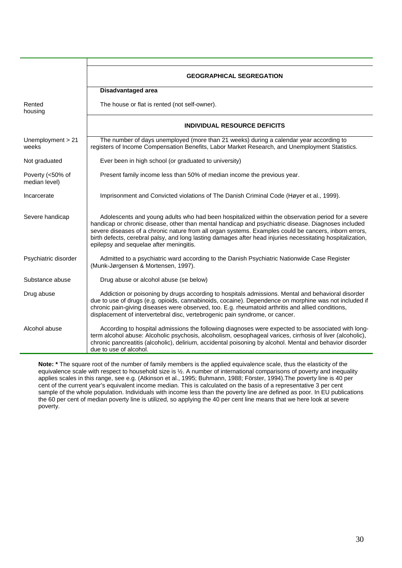|                                   | <b>GEOGRAPHICAL SEGREGATION</b>                                                                                                                                                                                                                                                                                                                                                                                                                                            |  |  |  |  |  |  |  |
|-----------------------------------|----------------------------------------------------------------------------------------------------------------------------------------------------------------------------------------------------------------------------------------------------------------------------------------------------------------------------------------------------------------------------------------------------------------------------------------------------------------------------|--|--|--|--|--|--|--|
|                                   | Disadvantaged area                                                                                                                                                                                                                                                                                                                                                                                                                                                         |  |  |  |  |  |  |  |
| Rented<br>housing                 | The house or flat is rented (not self-owner).                                                                                                                                                                                                                                                                                                                                                                                                                              |  |  |  |  |  |  |  |
|                                   | <b>INDIVIDUAL RESOURCE DEFICITS</b>                                                                                                                                                                                                                                                                                                                                                                                                                                        |  |  |  |  |  |  |  |
| Unemployment > 21<br>weeks        | The number of days unemployed (more than 21 weeks) during a calendar year according to<br>registers of Income Compensation Benefits, Labor Market Research, and Unemployment Statistics.                                                                                                                                                                                                                                                                                   |  |  |  |  |  |  |  |
| Not graduated                     | Ever been in high school (or graduated to university)                                                                                                                                                                                                                                                                                                                                                                                                                      |  |  |  |  |  |  |  |
| Poverty (<50% of<br>median level) | Present family income less than 50% of median income the previous year.                                                                                                                                                                                                                                                                                                                                                                                                    |  |  |  |  |  |  |  |
| Incarcerate                       | Imprisonment and Convicted violations of The Danish Criminal Code (Høyer et al., 1999).                                                                                                                                                                                                                                                                                                                                                                                    |  |  |  |  |  |  |  |
| Severe handicap                   | Adolescents and young adults who had been hospitalized within the observation period for a severe<br>handicap or chronic disease, other than mental handicap and psychiatric disease. Diagnoses included<br>severe diseases of a chronic nature from all organ systems. Examples could be cancers, inborn errors,<br>birth defects, cerebral palsy, and long lasting damages after head injuries necessitating hospitalization,<br>epilepsy and sequelae after meningitis. |  |  |  |  |  |  |  |
| Psychiatric disorder              | Admitted to a psychiatric ward according to the Danish Psychiatric Nationwide Case Register<br>(Munk-Jørgensen & Mortensen, 1997).                                                                                                                                                                                                                                                                                                                                         |  |  |  |  |  |  |  |
| Substance abuse                   | Drug abuse or alcohol abuse (se below)                                                                                                                                                                                                                                                                                                                                                                                                                                     |  |  |  |  |  |  |  |
| Drug abuse                        | Addiction or poisoning by drugs according to hospitals admissions. Mental and behavioral disorder<br>due to use of drugs (e.g. opioids, cannabinoids, cocaine). Dependence on morphine was not included if<br>chronic pain-giving diseases were observed, too. E.g. rheumatoid arthritis and allied conditions,<br>displacement of intervertebral disc, vertebrogenic pain syndrome, or cancer.                                                                            |  |  |  |  |  |  |  |
| Alcohol abuse                     | According to hospital admissions the following diagnoses were expected to be associated with long-<br>term alcohol abuse: Alcoholic psychosis, alcoholism, oesophageal varices, cirrhosis of liver (alcoholic),<br>chronic pancreatitis (alcoholic), delirium, accidental poisoning by alcohol. Mental and behavior disorder<br>due to use of alcohol.                                                                                                                     |  |  |  |  |  |  |  |

**Note: \*** The square root of the number of family members is the applied equivalence scale, thus the elasticity of the equivalence scale with respect to household size is ½. A number of international comparisons of poverty and inequality applies scales in this range, see e.g. (Atkinson et al., 1995; Buhmann, 1988; Förster, 1994).The poverty line is 40 per cent of the current year's equivalent income median. This is calculated on the basis of a representative 3 per cent sample of the whole population. Individuals with income less than the poverty line are defined as poor. In EU publications the 60 per cent of median poverty line is utilized, so applying the 40 per cent line means that we here look at severe poverty.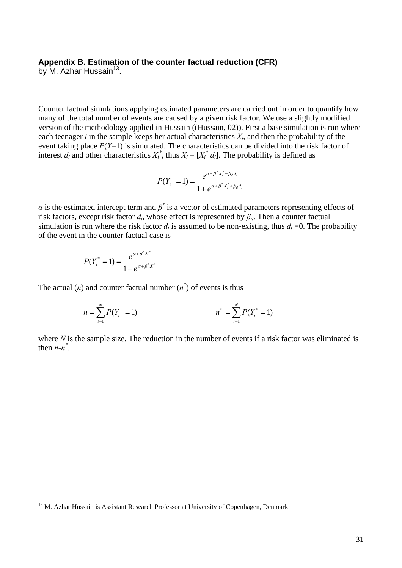## **Appendix B. Estimation of the counter factual reduction (CFR)**

by M. Azhar Hussain $^{13}$ .

 $\overline{a}$ 

Counter factual simulations applying estimated parameters are carried out in order to quantify how many of the total number of events are caused by a given risk factor. We use a slightly modified version of the methodology applied in Hussain ((Hussain, 02)). First a base simulation is run where each teenager *i* in the sample keeps her actual characteristics  $X_i$ , and then the probability of the event taking place *P*(*Y*=1) is simulated. The characteristics can be divided into the risk factor of interest  $d_i$  and other characteristics  $X_i^*$ , thus  $X_i = [X_i^* d_i]$ . The probability is defined as

$$
P(Y_i = 1) = \frac{e^{\alpha + \beta^* X_i^* + \beta_d d_i}}{1 + e^{\alpha + \beta^* X_i^* + \beta_d d_i}}
$$

*a* is the estimated intercept term and  $\beta^*$  is a vector of estimated parameters representing effects of risk factors, except risk factor *di*, whose effect is represented by *βd*. Then a counter factual simulation is run where the risk factor  $d_i$  is assumed to be non-existing, thus  $d_i = 0$ . The probability of the event in the counter factual case is

$$
P(Y_i^* = 1) = \frac{e^{\alpha + \beta^* X_i^*}}{1 + e^{\alpha + \beta^* X_i^*}}
$$

The actual  $(n)$  and counter factual number  $(n^*)$  of events is thus

$$
n = \sum_{i=1}^{N} P(Y_i = 1) \qquad n^* = \sum_{i=1}^{N} P(Y_i^* = 1)
$$

where *N* is the sample size. The reduction in the number of events if a risk factor was eliminated is then  $n - n^*$ .

<span id="page-32-0"></span><sup>&</sup>lt;sup>13</sup> M. Azhar Hussain is Assistant Research Professor at University of Copenhagen, Denmark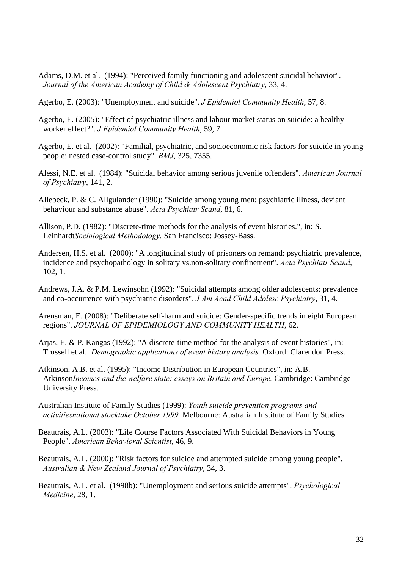- Adams, D.M. et al. (1994): "Perceived family functioning and adolescent suicidal behavior". *Journal of the American Academy of Child & Adolescent Psychiatry*, 33, 4.
- Agerbo, E. (2003): "Unemployment and suicide". *J Epidemiol Community Health*, 57, 8.
- Agerbo, E. (2005): "Effect of psychiatric illness and labour market status on suicide: a healthy worker effect?". *J Epidemiol Community Health*, 59, 7.
- Agerbo, E. et al. (2002): "Familial, psychiatric, and socioeconomic risk factors for suicide in young people: nested case-control study". *BMJ*, 325, 7355.
- Alessi, N.E. et al. (1984): "Suicidal behavior among serious juvenile offenders". *American Journal of Psychiatry*, 141, 2.
- Allebeck, P. & C. Allgulander (1990): "Suicide among young men: psychiatric illness, deviant behaviour and substance abuse". *Acta Psychiatr Scand*, 81, 6.
- Allison, P.D. (1982): "Discrete-time methods for the analysis of event histories.", in: S. Leinhardt*Sociological Methodology.* San Francisco: Jossey-Bass.
- Andersen, H.S. et al. (2000): "A longitudinal study of prisoners on remand: psychiatric prevalence, incidence and psychopathology in solitary vs.non-solitary confinement". *Acta Psychiatr Scand*, 102, 1.
- Andrews, J.A. & P.M. Lewinsohn (1992): "Suicidal attempts among older adolescents: prevalence and co-occurrence with psychiatric disorders". *J Am Acad Child Adolesc Psychiatry*, 31, 4.
- Arensman, E. (2008): "Deliberate self-harm and suicide: Gender-specific trends in eight European regions". *JOURNAL OF EPIDEMIOLOGY AND COMMUNITY HEALTH*, 62.
- Arjas, E. & P. Kangas (1992): "A discrete-time method for the analysis of event histories", in: Trussell et al.: *Demographic applications of event history analysis.* Oxford: Clarendon Press.
- Atkinson, A.B. et al. (1995): "Income Distribution in European Countries", in: A.B. Atkinson*Incomes and the welfare state: essays on Britain and Europe.* Cambridge: Cambridge University Press.
- Australian Institute of Family Studies (1999): *Youth suicide prevention programs and activitiesnational stocktake October 1999.* Melbourne: Australian Institute of Family Studies
- Beautrais, A.L. (2003): "Life Course Factors Associated With Suicidal Behaviors in Young People". *American Behavioral Scientist*, 46, 9.
- Beautrais, A.L. (2000): "Risk factors for suicide and attempted suicide among young people". *Australian & New Zealand Journal of Psychiatry*, 34, 3.
- Beautrais, A.L. et al. (1998b): "Unemployment and serious suicide attempts". *Psychological Medicine*, 28, 1.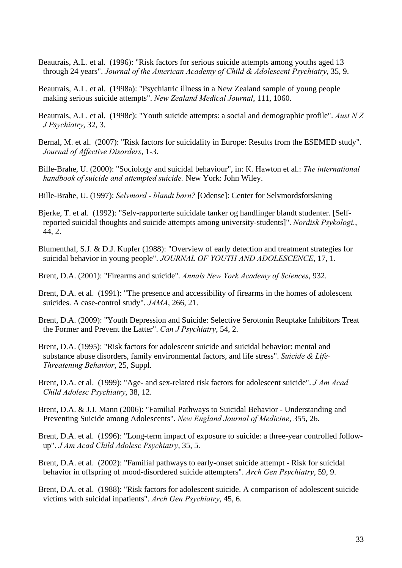- Beautrais, A.L. et al. (1996): "Risk factors for serious suicide attempts among youths aged 13 through 24 years". *Journal of the American Academy of Child & Adolescent Psychiatry*, 35, 9.
- Beautrais, A.L. et al. (1998a): "Psychiatric illness in a New Zealand sample of young people making serious suicide attempts". *New Zealand Medical Journal*, 111, 1060.
- Beautrais, A.L. et al. (1998c): "Youth suicide attempts: a social and demographic profile". *Aust N Z J Psychiatry*, 32, 3.
- Bernal, M. et al. (2007): "Risk factors for suicidality in Europe: Results from the ESEMED study". *Journal of Affective Disorders*, 1-3.
- Bille-Brahe, U. (2000): "Sociology and suicidal behaviour", in: K. Hawton et al.: *The international handbook of suicide and attempted suicide.* New York: John Wiley.
- Bille-Brahe, U. (1997): *Selvmord blandt børn?* [Odense]: Center for Selvmordsforskning
- Bjerke, T. et al. (1992): "Selv-rapporterte suicidale tanker og handlinger blandt studenter. [Selfreported suicidal thoughts and suicide attempts among university-students]". *Nordisk Psykologi.*, 44, 2.
- Blumenthal, S.J. & D.J. Kupfer (1988): "Overview of early detection and treatment strategies for suicidal behavior in young people". *JOURNAL OF YOUTH AND ADOLESCENCE*, 17, 1.
- Brent, D.A. (2001): "Firearms and suicide". *Annals New York Academy of Sciences*, 932.
- Brent, D.A. et al. (1991): "The presence and accessibility of firearms in the homes of adolescent suicides. A case-control study". *JAMA*, 266, 21.
- Brent, D.A. (2009): "Youth Depression and Suicide: Selective Serotonin Reuptake Inhibitors Treat the Former and Prevent the Latter". *Can J Psychiatry*, 54, 2.
- Brent, D.A. (1995): "Risk factors for adolescent suicide and suicidal behavior: mental and substance abuse disorders, family environmental factors, and life stress". *Suicide & Life-Threatening Behavior*, 25, Suppl.
- Brent, D.A. et al. (1999): "Age- and sex-related risk factors for adolescent suicide". *J Am Acad Child Adolesc Psychiatry*, 38, 12.
- Brent, D.A. & J.J. Mann (2006): "Familial Pathways to Suicidal Behavior Understanding and Preventing Suicide among Adolescents". *New England Journal of Medicine*, 355, 26.
- Brent, D.A. et al. (1996): "Long-term impact of exposure to suicide: a three-year controlled followup". *J Am Acad Child Adolesc Psychiatry*, 35, 5.
- Brent, D.A. et al. (2002): "Familial pathways to early-onset suicide attempt Risk for suicidal behavior in offspring of mood-disordered suicide attempters". *Arch Gen Psychiatry*, 59, 9.
- Brent, D.A. et al. (1988): "Risk factors for adolescent suicide. A comparison of adolescent suicide victims with suicidal inpatients". *Arch Gen Psychiatry*, 45, 6.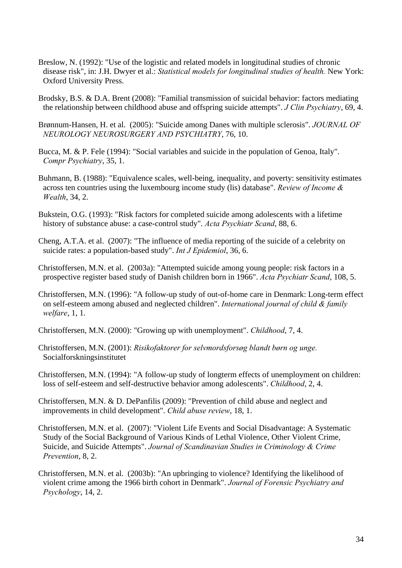- Breslow, N. (1992): "Use of the logistic and related models in longitudinal studies of chronic disease risk", in: J.H. Dwyer et al.: *Statistical models for longitudinal studies of health.* New York: Oxford University Press.
- Brodsky, B.S. & D.A. Brent (2008): "Familial transmission of suicidal behavior: factors mediating the relationship between childhood abuse and offspring suicide attempts". *J Clin Psychiatry*, 69, 4.
- Brønnum-Hansen, H. et al. (2005): "Suicide among Danes with multiple sclerosis". *JOURNAL OF NEUROLOGY NEUROSURGERY AND PSYCHIATRY*, 76, 10.
- Bucca, M. & P. Fele (1994): "Social variables and suicide in the population of Genoa, Italy". *Compr Psychiatry*, 35, 1.
- Buhmann, B. (1988): "Equivalence scales, well-being, inequality, and poverty: sensitivity estimates across ten countries using the luxembourg income study (lis) database". *Review of Income & Wealth*, 34, 2.
- Bukstein, O.G. (1993): "Risk factors for completed suicide among adolescents with a lifetime history of substance abuse: a case-control study". *Acta Psychiatr Scand*, 88, 6.
- Cheng, A.T.A. et al. (2007): "The influence of media reporting of the suicide of a celebrity on suicide rates: a population-based study". *Int J Epidemiol*, 36, 6.
- Christoffersen, M.N. et al. (2003a): "Attempted suicide among young people: risk factors in a prospective register based study of Danish children born in 1966". *Acta Psychiatr Scand*, 108, 5.
- Christoffersen, M.N. (1996): "A follow-up study of out-of-home care in Denmark: Long-term effect on self-esteem among abused and neglected children". *International journal of child & family welfare*, 1, 1.
- Christoffersen, M.N. (2000): "Growing up with unemployment". *Childhood*, 7, 4.
- Christoffersen, M.N. (2001): *Risikofaktorer for selvmordsforsøg blandt børn og unge.* Socialforskningsinstitutet
- Christoffersen, M.N. (1994): "A follow-up study of longterm effects of unemployment on children: loss of self-esteem and self-destructive behavior among adolescents". *Childhood*, 2, 4.
- Christoffersen, M.N. & D. DePanfilis (2009): "Prevention of child abuse and neglect and improvements in child development". *Child abuse review*, 18, 1.
- Christoffersen, M.N. et al. (2007): "Violent Life Events and Social Disadvantage: A Systematic Study of the Social Background of Various Kinds of Lethal Violence, Other Violent Crime, Suicide, and Suicide Attempts". *Journal of Scandinavian Studies in Criminology & Crime Prevention*, 8, 2.
- Christoffersen, M.N. et al. (2003b): "An upbringing to violence? Identifying the likelihood of violent crime among the 1966 birth cohort in Denmark". *Journal of Forensic Psychiatry and Psychology*, 14, 2.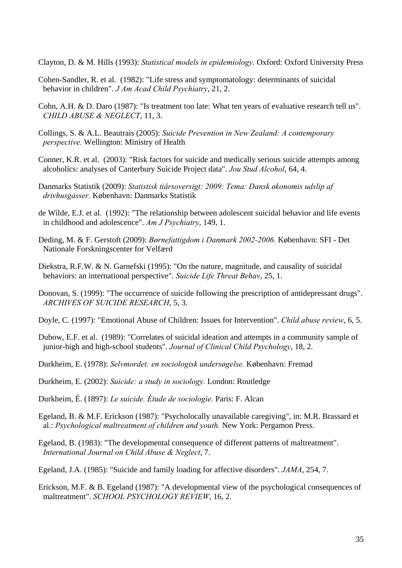Clayton, D. & M. Hills (1993): *Statistical models in epidemiology.* Oxford: Oxford University Press

- Cohen-Sandler, R. et al. (1982): "Life stress and symptomatology: determinants of suicidal behavior in children". *J Am Acad Child Psychiatry*, 21, 2.
- Cohn, A.H. & D. Daro (1987): "Is treatment too late: What ten years of evaluative research tell us". *CHILD ABUSE & NEGLECT*, 11, 3.
- Collings, S. & A.L. Beautrais (2005): *Suicide Prevention in New Zealand: A contemporary perspective.* Wellington: Ministry of Health
- Conner, K.R. et al. (2003): "Risk factors for suicide and medically serious suicide attempts among alcoholics: analyses of Canterbury Suicide Project data". *Jou Stud Alcohol*, 64, 4.
- Danmarks Statistik (2009): *Statistisk tiårsoversigt: 2009: Tema: Dansk økonomis udslip af drivhusgasser.* København: Danmarks Statistik
- de Wilde, E.J. et al. (1992): "The relationship between adolescent suicidal behavior and life events in childhood and adolescence". *Am J Psychiatry*, 149, 1.
- Deding, M. & F. Gerstoft (2009): *Børnefattigdom i Danmark 2002-2006.* København: SFI Det Nationale Forskningscenter for Velfærd
- Diekstra, R.F.W. & N. Garnefski (1995): "On the nature, magnitude, and causality of suicidal behaviors: an international perspective". *Suicide Life Threat Behav*, 25, 1.
- Donovan, S. (1999): "The occurrence of suicide following the prescription of antidepressant drugs". *ARCHIVES OF SUICIDE RESEARCH*, 5, 3.
- Doyle, C. (1997): "Emotional Abuse of Children: Issues for Intervention". *Child abuse review*, 6, 5.
- Dubow, E.F. et al. (1989): "Correlates of suicidal ideation and attempts in a community sample of junior-high and high-school students". *Journal of Clinical Child Psychology*, 18, 2.
- Durkheim, E. (1978): *Selvmordet: en sociologisk undersøgelse.* København: Fremad
- Durkheim, E. (2002): *Suicide: a study in sociology.* London: Routledge
- Durkheim, É. (1897): *Le suicide. Étude de sociologie.* Paris: F. Alcan
- Egeland, B. & M.F. Erickson (1987): "Psycholocally unavailable caregiving", in: M.R. Brassard et al.: *Psychological maltreatment of children and youth.* New York: Pergamon Press.
- Egeland, B. (1983): "The developmental consequence of different patterns of maltreatment". *International Journal on Child Abuse & Neglect*, 7.
- Egeland, J.A. (1985): "Suicide and family loading for affective disorders". *JAMA*, 254, 7.
- Erickson, M.F. & B. Egeland (1987): "A developmental view of the psychological consequences of maltreatment". *SCHOOL PSYCHOLOGY REVIEW*, 16, 2.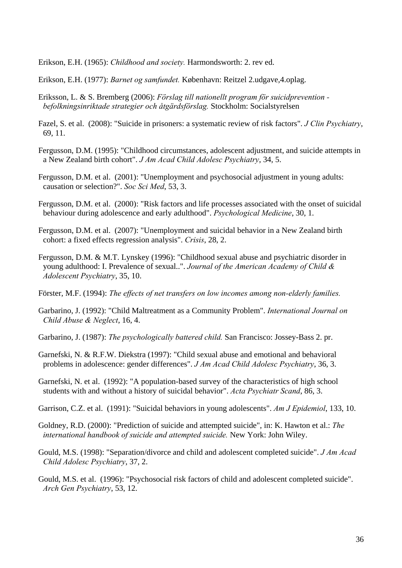Erikson, E.H. (1965): *Childhood and society.* Harmondsworth: 2. rev ed.

Erikson, E.H. (1977): *Barnet og samfundet.* København: Reitzel 2.udgave,4.oplag.

- Eriksson, L. & S. Bremberg (2006): *Förslag till nationellt program för suicidprevention befolkningsinriktade strategier och åtgärdsförslag.* Stockholm: Socialstyrelsen
- Fazel, S. et al. (2008): "Suicide in prisoners: a systematic review of risk factors". *J Clin Psychiatry*, 69, 11.
- Fergusson, D.M. (1995): "Childhood circumstances, adolescent adjustment, and suicide attempts in a New Zealand birth cohort". *J Am Acad Child Adolesc Psychiatry*, 34, 5.
- Fergusson, D.M. et al. (2001): "Unemployment and psychosocial adjustment in young adults: causation or selection?". *Soc Sci Med*, 53, 3.
- Fergusson, D.M. et al. (2000): "Risk factors and life processes associated with the onset of suicidal behaviour during adolescence and early adulthood". *Psychological Medicine*, 30, 1.
- Fergusson, D.M. et al. (2007): "Unemployment and suicidal behavior in a New Zealand birth cohort: a fixed effects regression analysis". *Crisis*, 28, 2.
- Fergusson, D.M. & M.T. Lynskey (1996): "Childhood sexual abuse and psychiatric disorder in young adulthood: I. Prevalence of sexual..". *Journal of the American Academy of Child & Adolescent Psychiatry*, 35, 10.
- Förster, M.F. (1994): *The effects of net transfers on low incomes among non-elderly families.*
- Garbarino, J. (1992): "Child Maltreatment as a Community Problem". *International Journal on Child Abuse & Neglect*, 16, 4.
- Garbarino, J. (1987): *The psychologically battered child.* San Francisco: Jossey-Bass 2. pr.
- Garnefski, N. & R.F.W. Diekstra (1997): "Child sexual abuse and emotional and behavioral problems in adolescence: gender differences". *J Am Acad Child Adolesc Psychiatry*, 36, 3.
- Garnefski, N. et al. (1992): "A population-based survey of the characteristics of high school students with and without a history of suicidal behavior". *Acta Psychiatr Scand*, 86, 3.
- Garrison, C.Z. et al. (1991): "Suicidal behaviors in young adolescents". *Am J Epidemiol*, 133, 10.
- Goldney, R.D. (2000): "Prediction of suicide and attempted suicide", in: K. Hawton et al.: *The international handbook of suicide and attempted suicide.* New York: John Wiley.
- Gould, M.S. (1998): "Separation/divorce and child and adolescent completed suicide". *J Am Acad Child Adolesc Psychiatry*, 37, 2.
- Gould, M.S. et al. (1996): "Psychosocial risk factors of child and adolescent completed suicide". *Arch Gen Psychiatry*, 53, 12.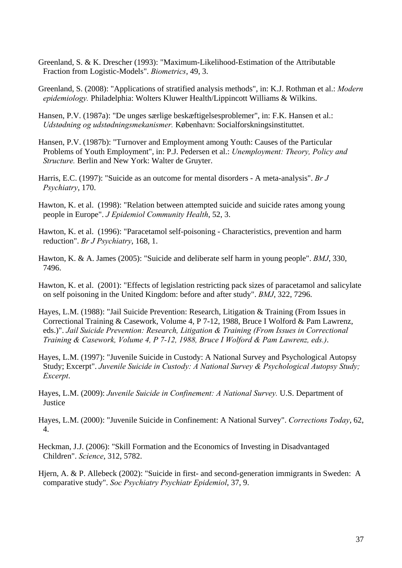- Greenland, S. & K. Drescher (1993): "Maximum-Likelihood-Estimation of the Attributable Fraction from Logistic-Models". *Biometrics*, 49, 3.
- Greenland, S. (2008): "Applications of stratified analysis methods", in: K.J. Rothman et al.: *Modern epidemiology.* Philadelphia: Wolters Kluwer Health/Lippincott Williams & Wilkins.
- Hansen, P.V. (1987a): "De unges særlige beskæftigelsesproblemer", in: F.K. Hansen et al.: *Udstødning og udstødningsmekanismer.* København: Socialforskningsinstituttet.
- Hansen, P.V. (1987b): "Turnover and Employment among Youth: Causes of the Particular Problems of Youth Employment", in: P.J. Pedersen et al.: *Unemployment: Theory, Policy and Structure.* Berlin and New York: Walter de Gruyter.
- Harris, E.C. (1997): "Suicide as an outcome for mental disorders A meta-analysis". *Br J Psychiatry*, 170.
- Hawton, K. et al. (1998): "Relation between attempted suicide and suicide rates among young people in Europe". *J Epidemiol Community Health*, 52, 3.
- Hawton, K. et al. (1996): "Paracetamol self-poisoning Characteristics, prevention and harm reduction". *Br J Psychiatry*, 168, 1.
- Hawton, K. & A. James (2005): "Suicide and deliberate self harm in young people". *BMJ*, 330, 7496.
- Hawton, K. et al. (2001): "Effects of legislation restricting pack sizes of paracetamol and salicylate on self poisoning in the United Kingdom: before and after study". *BMJ*, 322, 7296.
- Hayes, L.M. (1988): "Jail Suicide Prevention: Research, Litigation & Training (From Issues in Correctional Training & Casework, Volume 4, P 7-12, 1988, Bruce I Wolford & Pam Lawrenz, eds.)". *Jail Suicide Prevention: Research, Litigation & Training (From Issues in Correctional Training & Casework, Volume 4, P 7-12, 1988, Bruce I Wolford & Pam Lawrenz, eds.)*.
- Hayes, L.M. (1997): "Juvenile Suicide in Custody: A National Survey and Psychological Autopsy Study; Excerpt". *Juvenile Suicide in Custody: A National Survey & Psychological Autopsy Study; Excerpt*.
- Hayes, L.M. (2009): *Juvenile Suicide in Confinement: A National Survey.* U.S. Department of **Justice**
- Hayes, L.M. (2000): "Juvenile Suicide in Confinement: A National Survey". *Corrections Today*, 62, 4.
- Heckman, J.J. (2006): "Skill Formation and the Economics of Investing in Disadvantaged Children". *Science*, 312, 5782.
- Hjern, A. & P. Allebeck (2002): "Suicide in first- and second-generation immigrants in Sweden: A comparative study". *Soc Psychiatry Psychiatr Epidemiol*, 37, 9.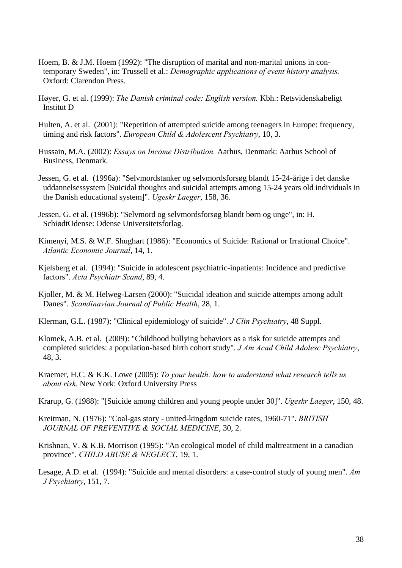- Hoem, B. & J.M. Hoem (1992): "The disruption of marital and non-marital unions in contemporary Sweden", in: Trussell et al.: *Demographic applications of event history analysis.*  Oxford: Clarendon Press.
- Høyer, G. et al. (1999): *The Danish criminal code: English version.* Kbh.: Retsvidenskabeligt Institut D
- Hulten, A. et al. (2001): "Repetition of attempted suicide among teenagers in Europe: frequency, timing and risk factors". *European Child & Adolescent Psychiatry*, 10, 3.
- Hussain, M.A. (2002): *Essays on Income Distribution.* Aarhus, Denmark: Aarhus School of Business, Denmark.
- Jessen, G. et al. (1996a): "Selvmordstanker og selvmordsforsøg blandt 15-24-årige i det danske uddannelsessystem [Suicidal thoughts and suicidal attempts among 15-24 years old individuals in the Danish educational system]". *Ugeskr Laeger*, 158, 36.
- Jessen, G. et al. (1996b): "Selvmord og selvmordsforsøg blandt børn og unge", in: H. SchiødtOdense: Odense Universitetsforlag.
- Kimenyi, M.S. & W.F. Shughart (1986): "Economics of Suicide: Rational or Irrational Choice". *Atlantic Economic Journal*, 14, 1.
- Kjelsberg et al. (1994): "Suicide in adolescent psychiatric-inpatients: Incidence and predictive factors". *Acta Psychiatr Scand*, 89, 4.
- Kjoller, M. & M. Helweg-Larsen (2000): "Suicidal ideation and suicide attempts among adult Danes". *Scandinavian Journal of Public Health*, 28, 1.
- Klerman, G.L. (1987): "Clinical epidemiology of suicide". *J Clin Psychiatry*, 48 Suppl.
- Klomek, A.B. et al. (2009): "Childhood bullying behaviors as a risk for suicide attempts and completed suicides: a population-based birth cohort study". *J Am Acad Child Adolesc Psychiatry*, 48, 3.
- Kraemer, H.C. & K.K. Lowe (2005): *To your health: how to understand what research tells us about risk.* New York: Oxford University Press
- Krarup, G. (1988): "[Suicide among children and young people under 30]". *Ugeskr Laeger*, 150, 48.
- Kreitman, N. (1976): "Coal-gas story united-kingdom suicide rates, 1960-71". *BRITISH JOURNAL OF PREVENTIVE & SOCIAL MEDICINE*, 30, 2.
- Krishnan, V. & K.B. Morrison (1995): "An ecological model of child maltreatment in a canadian province". *CHILD ABUSE & NEGLECT*, 19, 1.
- Lesage, A.D. et al. (1994): "Suicide and mental disorders: a case-control study of young men". *Am J Psychiatry*, 151, 7.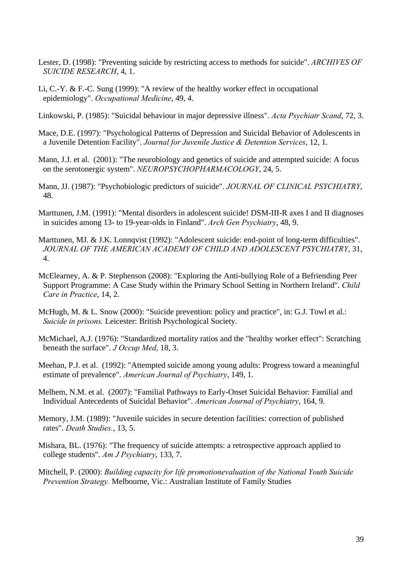- Lester, D. (1998): "Preventing suicide by restricting access to methods for suicide". *ARCHIVES OF SUICIDE RESEARCH*, 4, 1.
- Li, C.-Y. & F.-C. Sung (1999): "A review of the healthy worker effect in occupational epidemiology". *Occupational Medicine*, 49, 4.
- Linkowski, P. (1985): "Suicidal behaviour in major depressive illness". *Acta Psychiatr Scand*, 72, 3.
- Mace, D.E. (1997): "Psychological Patterns of Depression and Suicidal Behavior of Adolescents in a Juvenile Detention Facility". *Journal for Juvenile Justice & Detention Services*, 12, 1.
- Mann, J.J. et al. (2001): "The neurobiology and genetics of suicide and attempted suicide: A focus on the serotonergic system". *NEUROPSYCHOPHARMACOLOGY*, 24, 5.
- Mann, JJ. (1987): "Psychobiologic predictors of suicide". *JOURNAL OF CLINICAL PSYCHIATRY*, 48.
- Marttunen, J.M. (1991): "Mental disorders in adolescent suicide! DSM-III-R axes I and II diagnoses in suicides among 13- to 19-year-olds in Finland". *Arch Gen Psychiatry*, 48, 9.
- Marttunen, MJ. & J.K. Lonnqvist (1992): "Adolescent suicide: end-point of long-term difficulties". *JOURNAL OF THE AMERICAN ACADEMY OF CHILD AND ADOLESCENT PSYCHIATRY*, 31, 4.
- McElearney, A. & P. Stephenson (2008): "Exploring the Anti-bullying Role of a Befriending Peer Support Programme: A Case Study within the Primary School Setting in Northern Ireland". *Child Care in Practice*, 14, 2.
- McHugh, M. & L. Snow (2000): "Suicide prevention: policy and practice", in: G.J. Towl et al.: *Suicide in prisons.* Leicester: British Psychological Society.
- McMichael, A.J. (1976): "Standardized mortality ratios and the "healthy worker effect": Scratching beneath the surface". *J Occup Med*, 18, 3.
- Meehan, P.J. et al. (1992): "Attempted suicide among young adults: Progress toward a meaningful estimate of prevalence". *American Journal of Psychiatry*, 149, 1.
- Melhem, N.M. et al. (2007): "Familial Pathways to Early-Onset Suicidal Behavior: Familial and Individual Antecedents of Suicidal Behavior". *American Journal of Psychiatry*, 164, 9.
- Memory, J.M. (1989): "Juvenile suicides in secure detention facilities: correction of published rates". *Death Studies.*, 13, 5.
- Mishara, BL. (1976): "The frequency of suicide attempts: a retrospective approach applied to college students". *Am J Psychiatry*, 133, 7.
- Mitchell, P. (2000): *Building capacity for life promotionevaluation of the National Youth Suicide Prevention Strategy.* Melbourne, Vic.: Australian Institute of Family Studies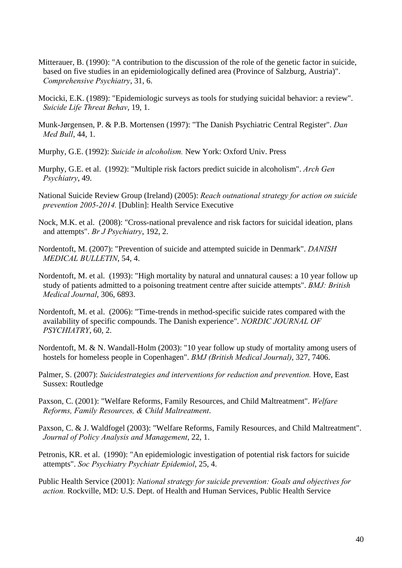- Mitterauer, B. (1990): "A contribution to the discussion of the role of the genetic factor in suicide, based on five studies in an epidemiologically defined area (Province of Salzburg, Austria)". *Comprehensive Psychiatry*, 31, 6.
- Mocicki, E.K. (1989): "Epidemiologic surveys as tools for studying suicidal behavior: a review". *Suicide Life Threat Behav*, 19, 1.
- Munk-Jørgensen, P. & P.B. Mortensen (1997): "The Danish Psychiatric Central Register". *Dan Med Bull*, 44, 1.
- Murphy, G.E. (1992): *Suicide in alcoholism.* New York: Oxford Univ. Press
- Murphy, G.E. et al. (1992): "Multiple risk factors predict suicide in alcoholism". *Arch Gen Psychiatry*, 49.
- National Suicide Review Group (Ireland) (2005): *Reach outnational strategy for action on suicide prevention 2005-2014.* [Dublin]: Health Service Executive
- Nock, M.K. et al. (2008): "Cross-national prevalence and risk factors for suicidal ideation, plans and attempts". *Br J Psychiatry*, 192, 2.
- Nordentoft, M. (2007): "Prevention of suicide and attempted suicide in Denmark". *DANISH MEDICAL BULLETIN*, 54, 4.
- Nordentoft, M. et al. (1993): "High mortality by natural and unnatural causes: a 10 year follow up study of patients admitted to a poisoning treatment centre after suicide attempts". *BMJ: British Medical Journal*, 306, 6893.
- Nordentoft, M. et al. (2006): "Time-trends in method-specific suicide rates compared with the availability of specific compounds. The Danish experience". *NORDIC JOURNAL OF PSYCHIATRY*, 60, 2.
- Nordentoft, M. & N. Wandall-Holm (2003): "10 year follow up study of mortality among users of hostels for homeless people in Copenhagen". *BMJ (British Medical Journal)*, 327, 7406.
- Palmer, S. (2007): *Suicidestrategies and interventions for reduction and prevention.* Hove, East Sussex: Routledge
- Paxson, C. (2001): "Welfare Reforms, Family Resources, and Child Maltreatment". *Welfare Reforms, Family Resources, & Child Maltreatment*.
- Paxson, C. & J. Waldfogel (2003): "Welfare Reforms, Family Resources, and Child Maltreatment". *Journal of Policy Analysis and Management*, 22, 1.
- Petronis, KR. et al. (1990): "An epidemiologic investigation of potential risk factors for suicide attempts". *Soc Psychiatry Psychiatr Epidemiol*, 25, 4.

Public Health Service (2001): *National strategy for suicide prevention: Goals and objectives for action.* Rockville, MD: U.S. Dept. of Health and Human Services, Public Health Service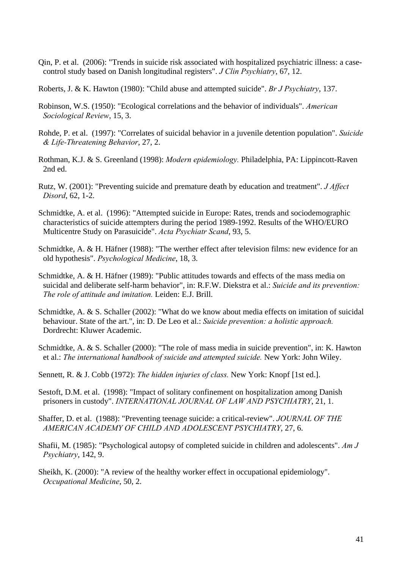- Qin, P. et al. (2006): "Trends in suicide risk associated with hospitalized psychiatric illness: a casecontrol study based on Danish longitudinal registers". *J Clin Psychiatry*, 67, 12.
- Roberts, J. & K. Hawton (1980): "Child abuse and attempted suicide". *Br J Psychiatry*, 137.
- Robinson, W.S. (1950): "Ecological correlations and the behavior of individuals". *American Sociological Review*, 15, 3.
- Rohde, P. et al. (1997): "Correlates of suicidal behavior in a juvenile detention population". *Suicide & Life-Threatening Behavior*, 27, 2.
- Rothman, K.J. & S. Greenland (1998): *Modern epidemiology.* Philadelphia, PA: Lippincott-Raven 2nd ed.
- Rutz, W. (2001): "Preventing suicide and premature death by education and treatment". *J Affect Disord*, 62, 1-2.
- Schmidtke, A. et al. (1996): "Attempted suicide in Europe: Rates, trends and sociodemographic characteristics of suicide attempters during the period 1989-1992. Results of the WHO/EURO Multicentre Study on Parasuicide". *Acta Psychiatr Scand*, 93, 5.
- Schmidtke, A. & H. Häfner (1988): "The werther effect after television films: new evidence for an old hypothesis". *Psychological Medicine*, 18, 3.
- Schmidtke, A. & H. Häfner (1989): "Public attitudes towards and effects of the mass media on suicidal and deliberate self-harm behavior", in: R.F.W. Diekstra et al.: *Suicide and its prevention: The role of attitude and imitation.* Leiden: E.J. Brill.
- Schmidtke, A. & S. Schaller (2002): "What do we know about media effects on imitation of suicidal behaviour. State of the art.", in: D. De Leo et al.: *Suicide prevention: a holistic approach.*  Dordrecht: Kluwer Academic.
- Schmidtke, A. & S. Schaller (2000): "The role of mass media in suicide prevention", in: K. Hawton et al.: *The international handbook of suicide and attempted suicide.* New York: John Wiley.
- Sennett, R. & J. Cobb (1972): *The hidden injuries of class.* New York: Knopf [1st ed.].
- Sestoft, D.M. et al. (1998): "Impact of solitary confinement on hospitalization among Danish prisoners in custody". *INTERNATIONAL JOURNAL OF LAW AND PSYCHIATRY*, 21, 1.
- Shaffer, D. et al. (1988): "Preventing teenage suicide: a critical-review". *JOURNAL OF THE AMERICAN ACADEMY OF CHILD AND ADOLESCENT PSYCHIATRY*, 27, 6.
- Shafii, M. (1985): "Psychological autopsy of completed suicide in children and adolescents". *Am J Psychiatry*, 142, 9.
- Sheikh, K. (2000): "A review of the healthy worker effect in occupational epidemiology". *Occupational Medicine*, 50, 2.